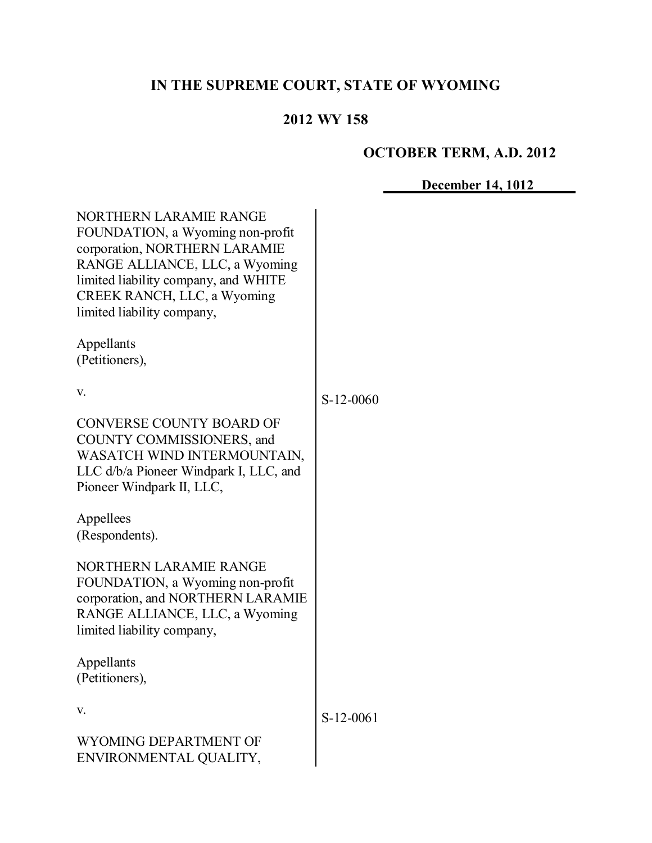# **IN THE SUPREME COURT, STATE OF WYOMING**

# **2012 WY 158**

# **OCTOBER TERM, A.D. 2012**

**December 14, 1012**

| <b>NORTHERN LARAMIE RANGE</b><br>FOUNDATION, a Wyoming non-profit<br>corporation, NORTHERN LARAMIE<br>RANGE ALLIANCE, LLC, a Wyoming<br>limited liability company, and WHITE<br>CREEK RANCH, LLC, a Wyoming<br>limited liability company,<br>Appellants<br>(Petitioners), |             |
|---------------------------------------------------------------------------------------------------------------------------------------------------------------------------------------------------------------------------------------------------------------------------|-------------|
| V.                                                                                                                                                                                                                                                                        | S-12-0060   |
| <b>CONVERSE COUNTY BOARD OF</b><br>COUNTY COMMISSIONERS, and<br>WASATCH WIND INTERMOUNTAIN,<br>LLC d/b/a Pioneer Windpark I, LLC, and<br>Pioneer Windpark II, LLC,                                                                                                        |             |
| Appellees<br>(Respondents).                                                                                                                                                                                                                                               |             |
| <b>NORTHERN LARAMIE RANGE</b><br>FOUNDATION, a Wyoming non-profit<br>corporation, and NORTHERN LARAMIE<br>RANGE ALLIANCE, LLC, a Wyoming<br>limited liability company,                                                                                                    |             |
| Appellants<br>(Petitioners)                                                                                                                                                                                                                                               |             |
| V.                                                                                                                                                                                                                                                                        | $S-12-0061$ |
| WYOMING DEPARTMENT OF<br>ENVIRONMENTAL QUALITY,                                                                                                                                                                                                                           |             |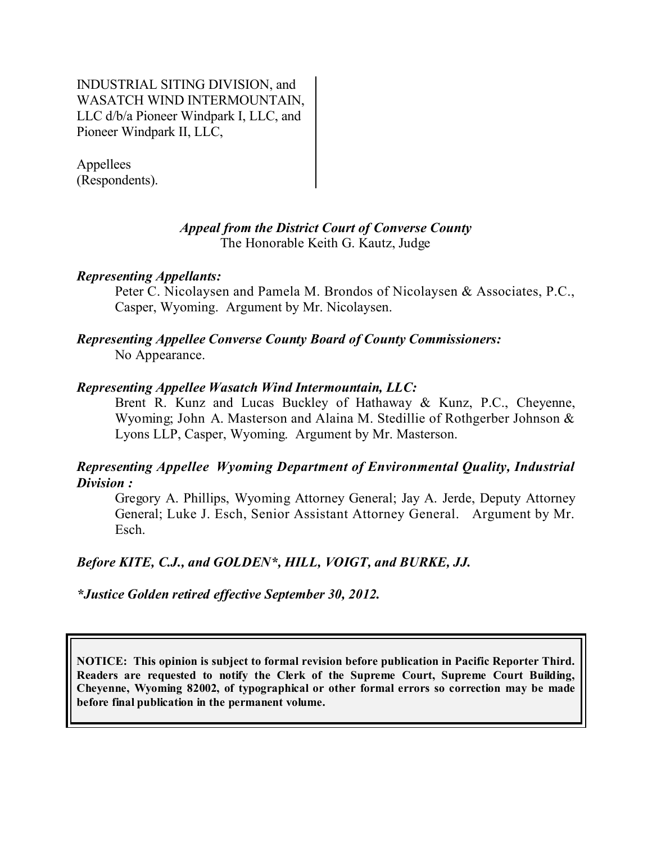INDUSTRIAL SITING DIVISION, and WASATCH WIND INTERMOUNTAIN, LLC d/b/a Pioneer Windpark I, LLC, and Pioneer Windpark II, LLC,

Appellees (Respondents).

#### *Appeal from the District Court of Converse County* The Honorable Keith G. Kautz, Judge

## *Representing Appellants:*

Peter C. Nicolaysen and Pamela M. Brondos of Nicolaysen & Associates, P.C., Casper, Wyoming. Argument by Mr. Nicolaysen.

## *Representing Appellee Converse County Board of County Commissioners:* No Appearance.

#### *Representing Appellee Wasatch Wind Intermountain, LLC:*

Brent R. Kunz and Lucas Buckley of Hathaway & Kunz, P.C., Cheyenne, Wyoming; John A. Masterson and Alaina M. Stedillie of Rothgerber Johnson & Lyons LLP, Casper, Wyoming. Argument by Mr. Masterson.

## *Representing Appellee Wyoming Department of Environmental Quality, Industrial Division :*

Gregory A. Phillips, Wyoming Attorney General; Jay A. Jerde, Deputy Attorney General; Luke J. Esch, Senior Assistant Attorney General. Argument by Mr. Esch.

## *Before KITE, C.J., and GOLDEN\*, HILL, VOIGT, and BURKE, JJ.*

*\*Justice Golden retired effective September 30, 2012.*

**NOTICE: This opinion is subject to formal revision before publication in Pacific Reporter Third. Readers are requested to notify the Clerk of the Supreme Court, Supreme Court Building, Cheyenne, Wyoming 82002, of typographical or other formal errors so correction may be made before final publication in the permanent volume.**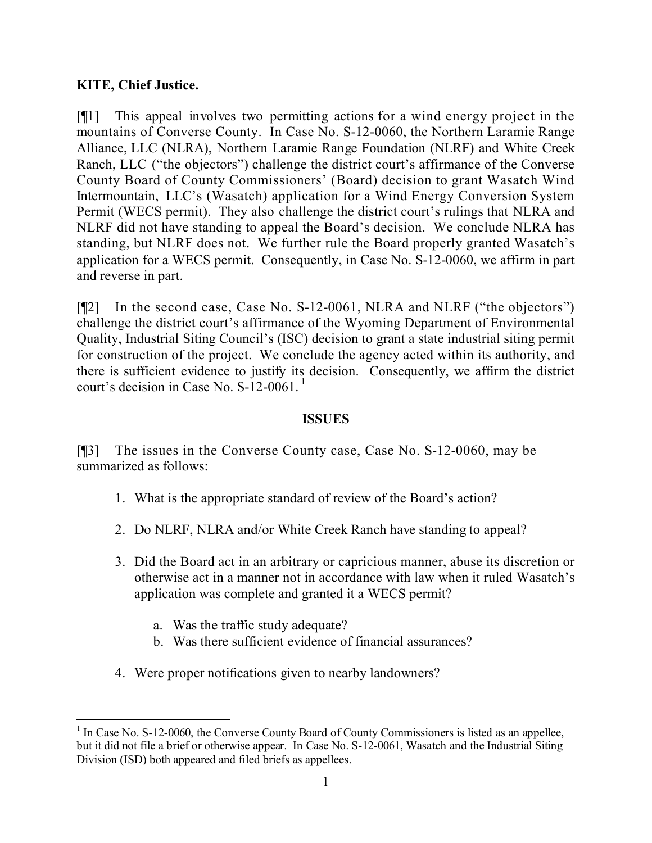## **KITE, Chief Justice.**

[¶1] This appeal involves two permitting actions for a wind energy project in the mountains of Converse County. In Case No. S-12-0060, the Northern Laramie Range Alliance, LLC (NLRA), Northern Laramie Range Foundation (NLRF) and White Creek Ranch, LLC ("the objectors") challenge the district court's affirmance of the Converse County Board of County Commissioners' (Board) decision to grant Wasatch Wind Intermountain, LLC's (Wasatch) application for a Wind Energy Conversion System Permit (WECS permit). They also challenge the district court's rulings that NLRA and NLRF did not have standing to appeal the Board's decision. We conclude NLRA has standing, but NLRF does not. We further rule the Board properly granted Wasatch's application for a WECS permit. Consequently, in Case No. S-12-0060, we affirm in part and reverse in part.

[¶2] In the second case, Case No. S-12-0061, NLRA and NLRF ("the objectors") challenge the district court's affirmance of the Wyoming Department of Environmental Quality, Industrial Siting Council's (ISC) decision to grant a state industrial siting permit for construction of the project. We conclude the agency acted within its authority, and there is sufficient evidence to justify its decision. Consequently, we affirm the district court's decision in Case No.  $S-12-0061$ .

## **ISSUES**

[¶3] The issues in the Converse County case, Case No. S-12-0060, may be summarized as follows:

- 1. What is the appropriate standard of review of the Board's action?
- 2. Do NLRF, NLRA and/or White Creek Ranch have standing to appeal?
- 3. Did the Board act in an arbitrary or capricious manner, abuse its discretion or otherwise act in a manner not in accordance with law when it ruled Wasatch's application was complete and granted it a WECS permit?
	- a. Was the traffic study adequate?
	- b. Was there sufficient evidence of financial assurances?
- 4. Were proper notifications given to nearby landowners?

 <sup>1</sup> In Case No. S-12-0060, the Converse County Board of County Commissioners is listed as an appellee, but it did not file a brief or otherwise appear. In Case No. S-12-0061, Wasatch and the Industrial Siting Division (ISD) both appeared and filed briefs as appellees.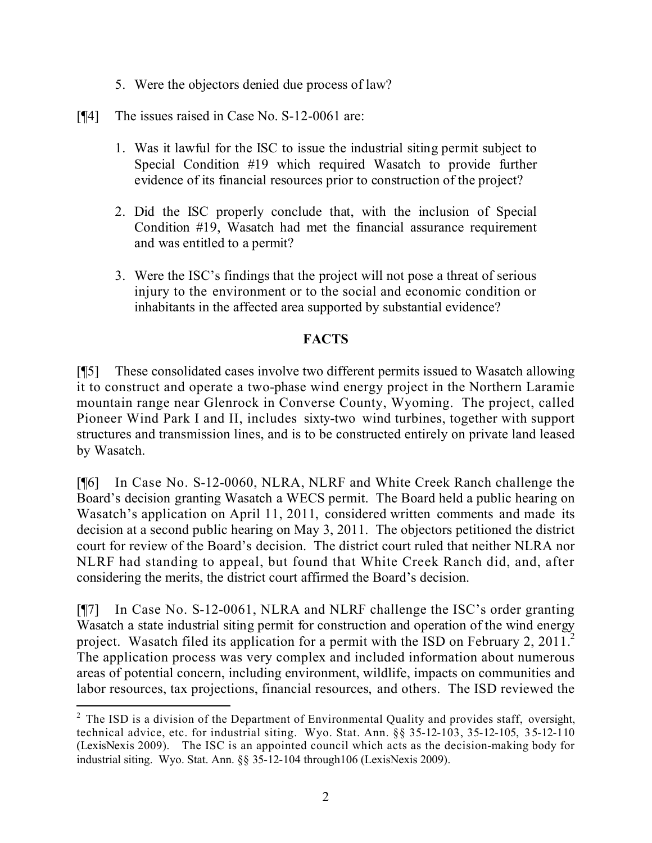- 5. Were the objectors denied due process of law?
- [¶4] The issues raised in Case No. S-12-0061 are:
	- 1. Was it lawful for the ISC to issue the industrial siting permit subject to Special Condition #19 which required Wasatch to provide further evidence of its financial resources prior to construction of the project?
	- 2. Did the ISC properly conclude that, with the inclusion of Special Condition #19, Wasatch had met the financial assurance requirement and was entitled to a permit?
	- 3. Were the ISC's findings that the project will not pose a threat of serious injury to the environment or to the social and economic condition or inhabitants in the affected area supported by substantial evidence?

## **FACTS**

[¶5] These consolidated cases involve two different permits issued to Wasatch allowing it to construct and operate a two-phase wind energy project in the Northern Laramie mountain range near Glenrock in Converse County, Wyoming. The project, called Pioneer Wind Park I and II, includes sixty-two wind turbines, together with support structures and transmission lines, and is to be constructed entirely on private land leased by Wasatch.

[¶6] In Case No. S-12-0060, NLRA, NLRF and White Creek Ranch challenge the Board's decision granting Wasatch a WECS permit. The Board held a public hearing on Wasatch's application on April 11, 2011, considered written comments and made its decision at a second public hearing on May 3, 2011. The objectors petitioned the district court for review of the Board's decision. The district court ruled that neither NLRA nor NLRF had standing to appeal, but found that White Creek Ranch did, and, after considering the merits, the district court affirmed the Board's decision.

[¶7] In Case No. S-12-0061, NLRA and NLRF challenge the ISC's order granting Wasatch a state industrial siting permit for construction and operation of the wind energy project. Wasatch filed its application for a permit with the ISD on February 2, 2011.<sup>2</sup> The application process was very complex and included information about numerous areas of potential concern, including environment, wildlife, impacts on communities and labor resources, tax projections, financial resources, and others. The ISD reviewed the

 $\overline{a}$ 

 $2$  The ISD is a division of the Department of Environmental Quality and provides staff, oversight, technical advice, etc. for industrial siting. Wyo. Stat. Ann. §§ 35-12-103, 35-12-105, 35-12-110 (LexisNexis 2009). The ISC is an appointed council which acts as the decision-making body for industrial siting. Wyo. Stat. Ann. §§ 35-12-104 through106 (LexisNexis 2009).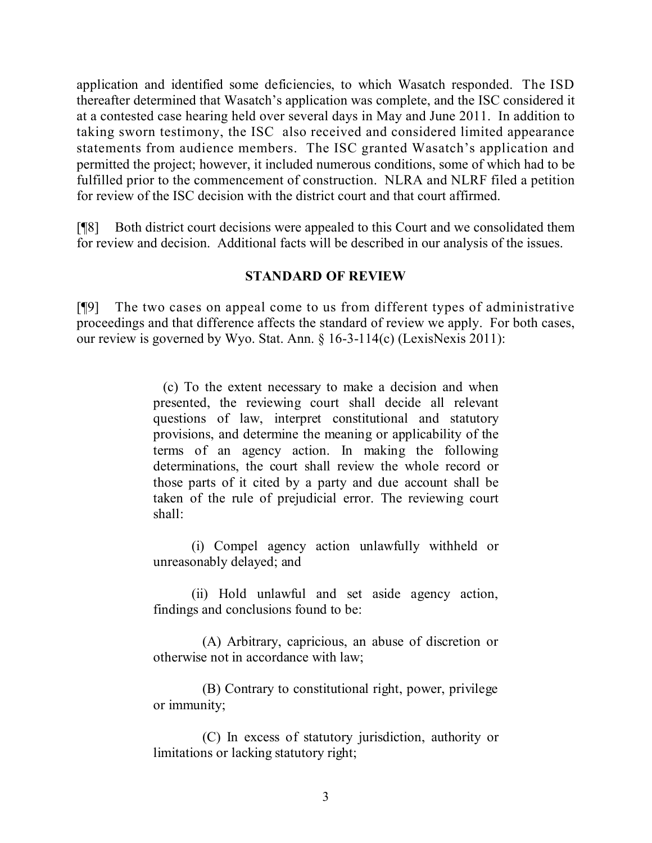application and identified some deficiencies, to which Wasatch responded. The ISD thereafter determined that Wasatch's application was complete, and the ISC considered it at a contested case hearing held over several days in May and June 2011. In addition to taking sworn testimony, the ISC also received and considered limited appearance statements from audience members. The ISC granted Wasatch's application and permitted the project; however, it included numerous conditions, some of which had to be fulfilled prior to the commencement of construction. NLRA and NLRF filed a petition for review of the ISC decision with the district court and that court affirmed.

[¶8] Both district court decisions were appealed to this Court and we consolidated them for review and decision. Additional facts will be described in our analysis of the issues.

## **STANDARD OF REVIEW**

[¶9] The two cases on appeal come to us from different types of administrative proceedings and that difference affects the standard of review we apply. For both cases, our review is governed by Wyo. Stat. Ann. § 16-3-114(c) (LexisNexis 2011):

> (c) To the extent necessary to make a decision and when presented, the reviewing court shall decide all relevant questions of law, interpret constitutional and statutory provisions, and determine the meaning or applicability of the terms of an agency action. In making the following determinations, the court shall review the whole record or those parts of it cited by a party and due account shall be taken of the rule of prejudicial error. The reviewing court shall:

> (i) Compel agency action unlawfully withheld or unreasonably delayed; and

> (ii) Hold unlawful and set aside agency action, findings and conclusions found to be:

> (A) Arbitrary, capricious, an abuse of discretion or otherwise not in accordance with law;

> (B) Contrary to constitutional right, power, privilege or immunity;

> (C) In excess of statutory jurisdiction, authority or limitations or lacking statutory right;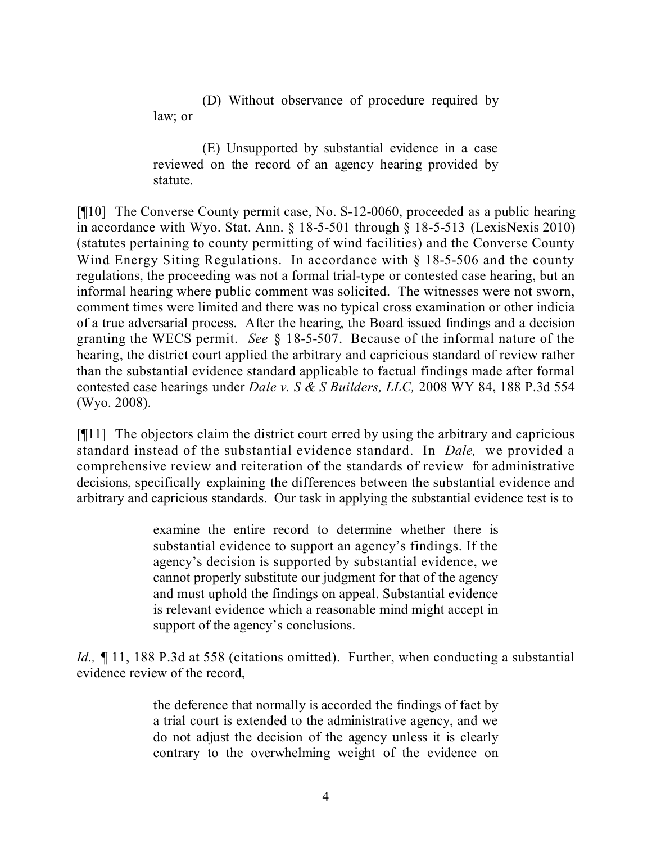(D) Without observance of procedure required by law; or

(E) Unsupported by substantial evidence in a case reviewed on the record of an agency hearing provided by statute.

[¶10] The Converse County permit case, No. S-12-0060, proceeded as a public hearing in accordance with Wyo. Stat. Ann. § 18-5-501 through § 18-5-513 (LexisNexis 2010) (statutes pertaining to county permitting of wind facilities) and the Converse County Wind Energy Siting Regulations. In accordance with  $\S$  18-5-506 and the county regulations, the proceeding was not a formal trial-type or contested case hearing, but an informal hearing where public comment was solicited. The witnesses were not sworn, comment times were limited and there was no typical cross examination or other indicia of a true adversarial process. After the hearing, the Board issued findings and a decision granting the WECS permit. *See* § 18-5-507. Because of the informal nature of the hearing, the district court applied the arbitrary and capricious standard of review rather than the substantial evidence standard applicable to factual findings made after formal contested case hearings under *Dale v. S & S Builders, LLC,* 2008 WY 84, 188 P.3d 554 (Wyo. 2008).

[¶11] The objectors claim the district court erred by using the arbitrary and capricious standard instead of the substantial evidence standard. In *Dale,* we provided a comprehensive review and reiteration of the standards of review for administrative decisions, specifically explaining the differences between the substantial evidence and arbitrary and capricious standards. Our task in applying the substantial evidence test is to

> examine the entire record to determine whether there is substantial evidence to support an agency's findings. If the agency's decision is supported by substantial evidence, we cannot properly substitute our judgment for that of the agency and must uphold the findings on appeal. Substantial evidence is relevant evidence which a reasonable mind might accept in support of the agency's conclusions.

*Id.*, 11, 188 P.3d at 558 (citations omitted). Further, when conducting a substantial evidence review of the record,

> the deference that normally is accorded the findings of fact by a trial court is extended to the administrative agency, and we do not adjust the decision of the agency unless it is clearly contrary to the overwhelming weight of the evidence on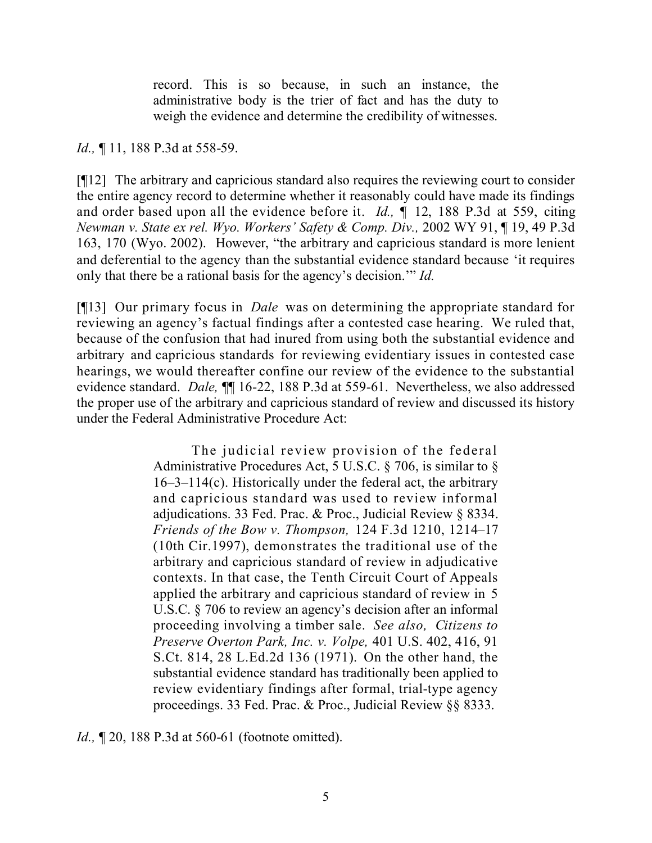record. This is so because, in such an instance, the administrative body is the trier of fact and has the duty to weigh the evidence and determine the credibility of witnesses.

*Id.*, ¶ 11, 188 P.3d at 558-59.

[¶12] The arbitrary and capricious standard also requires the reviewing court to consider the entire agency record to determine whether it reasonably could have made its findings and order based upon all the evidence before it. *Id., ¶* 12, 188 P.3d at 559, citing *Newman v. State ex rel. Wyo. Workers' Safety & Comp. Div.,* 2002 WY 91, ¶ 19, 49 P.3d 163, 170 (Wyo. 2002). However, "the arbitrary and capricious standard is more lenient and deferential to the agency than the substantial evidence standard because 'it requires only that there be a rational basis for the agency's decision.'" *Id.*

[¶13] Our primary focus in *Dale* was on determining the appropriate standard for reviewing an agency's factual findings after a contested case hearing. We ruled that, because of the confusion that had inured from using both the substantial evidence and arbitrary and capricious standards for reviewing evidentiary issues in contested case hearings, we would thereafter confine our review of the evidence to the substantial evidence standard. *Dale,* ¶¶ 16-22, 188 P.3d at 559-61. Nevertheless, we also addressed the proper use of the arbitrary and capricious standard of review and discussed its history under the Federal Administrative Procedure Act:

> The judicial review provision of the federal Administrative Procedures Act, 5 U.S.C. § 706, is similar to § 16–3–114(c). Historically under the federal act, the arbitrary and capricious standard was used to review informal adjudications. 33 Fed. Prac. & Proc., Judicial Review § 8334. *Friends of the Bow v. Thompson,* 124 F.3d 1210, 1214–17 (10th Cir.1997), demonstrates the traditional use of the arbitrary and capricious standard of review in adjudicative contexts. In that case, the Tenth Circuit Court of Appeals applied the arbitrary and capricious standard of review in 5 U.S.C. § 706 to review an agency's decision after an informal proceeding involving a timber sale. *See also, Citizens to Preserve Overton Park, Inc. v. Volpe,* 401 U.S. 402, 416, 91 S.Ct. 814, 28 L.Ed.2d 136 (1971). On the other hand, the substantial evidence standard has traditionally been applied to review evidentiary findings after formal, trial-type agency proceedings. 33 Fed. Prac. & Proc., Judicial Review §§ 8333.

*Id.*, **[20, 188 P.3d at 560-61** (footnote omitted).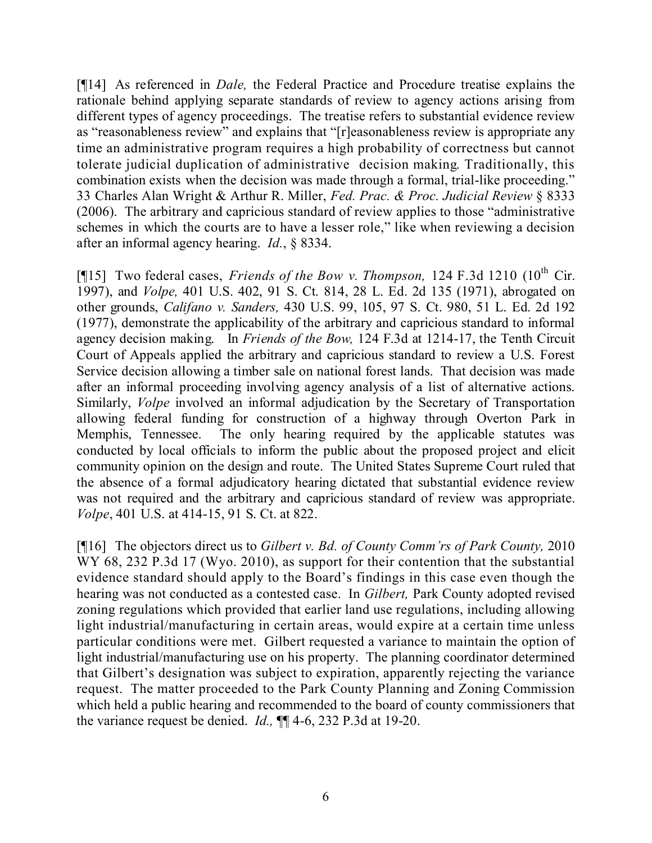[¶14] As referenced in *Dale,* the Federal Practice and Procedure treatise explains the rationale behind applying separate standards of review to agency actions arising from different types of agency proceedings. The treatise refers to substantial evidence review as "reasonableness review" and explains that "[r]easonableness review is appropriate any time an administrative program requires a high probability of correctness but cannot tolerate judicial duplication of administrative decision making. Traditionally, this combination exists when the decision was made through a formal, trial-like proceeding." 33 Charles Alan Wright & Arthur R. Miller, *Fed. Prac. & Proc. Judicial Review* § 8333 (2006). The arbitrary and capricious standard of review applies to those "administrative schemes in which the courts are to have a lesser role," like when reviewing a decision after an informal agency hearing. *Id.*, § 8334.

[¶15] Two federal cases, *Friends of the Bow v. Thompson*, 124 F.3d 1210 (10<sup>th</sup> Cir. 1997), and *Volpe,* 401 U.S. 402, 91 S. Ct. 814, 28 L. Ed. 2d 135 (1971), abrogated on other grounds, *Califano v. Sanders,* 430 U.S. 99, 105, 97 S. Ct. 980, 51 L. Ed. 2d 192 (1977), demonstrate the applicability of the arbitrary and capricious standard to informal agency decision making. In *Friends of the Bow,* 124 F.3d at 1214-17, the Tenth Circuit Court of Appeals applied the arbitrary and capricious standard to review a U.S. Forest Service decision allowing a timber sale on national forest lands. That decision was made after an informal proceeding involving agency analysis of a list of alternative actions. Similarly, *Volpe* involved an informal adjudication by the Secretary of Transportation allowing federal funding for construction of a highway through Overton Park in Memphis, Tennessee. The only hearing required by the applicable statutes was conducted by local officials to inform the public about the proposed project and elicit community opinion on the design and route. The United States Supreme Court ruled that the absence of a formal adjudicatory hearing dictated that substantial evidence review was not required and the arbitrary and capricious standard of review was appropriate. *Volpe*, 401 U.S. at 414-15, 91 S. Ct. at 822.

[¶16] The objectors direct us to *Gilbert v. Bd. of County Comm'rs of Park County,* 2010 WY 68, 232 P.3d 17 (Wyo. 2010), as support for their contention that the substantial evidence standard should apply to the Board's findings in this case even though the hearing was not conducted as a contested case. In *Gilbert,* Park County adopted revised zoning regulations which provided that earlier land use regulations, including allowing light industrial/manufacturing in certain areas, would expire at a certain time unless particular conditions were met. Gilbert requested a variance to maintain the option of light industrial/manufacturing use on his property. The planning coordinator determined that Gilbert's designation was subject to expiration, apparently rejecting the variance request. The matter proceeded to the Park County Planning and Zoning Commission which held a public hearing and recommended to the board of county commissioners that the variance request be denied. *Id.,* ¶¶ 4-6, 232 P.3d at 19-20.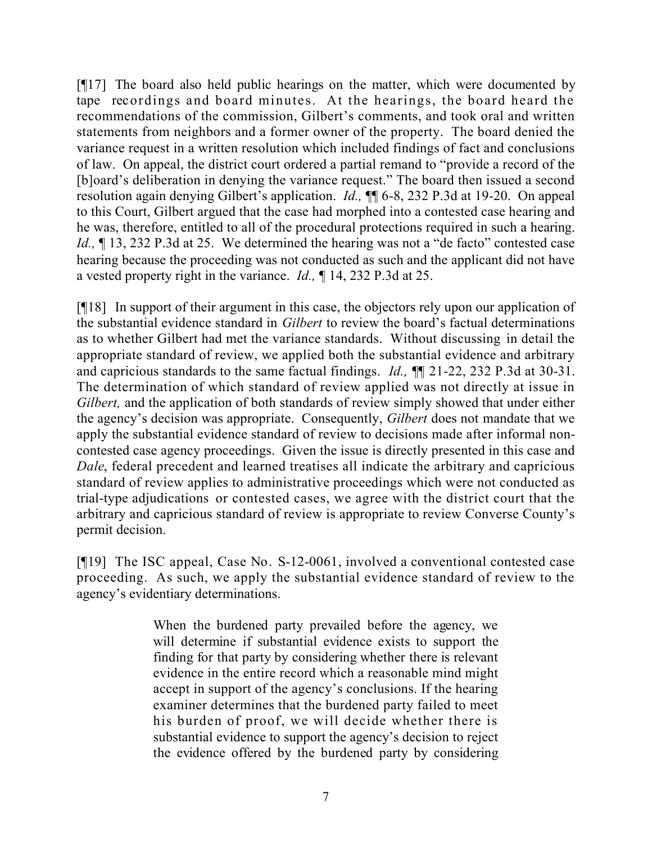[¶17] The board also held public hearings on the matter, which were documented by tape recordings and board minutes. At the hearings, the board heard the recommendations of the commission, Gilbert's comments, and took oral and written statements from neighbors and a former owner of the property. The board denied the variance request in a written resolution which included findings of fact and conclusions of law. On appeal, the district court ordered a partial remand to "provide a record of the [b]oard's deliberation in denying the variance request." The board then issued a second resolution again denying Gilbert's application. *Id.,* ¶¶ 6-8, 232 P.3d at 19-20. On appeal to this Court, Gilbert argued that the case had morphed into a contested case hearing and he was, therefore, entitled to all of the procedural protections required in such a hearing. *Id.*,  $\P$  13, 232 P.3d at 25. We determined the hearing was not a "de facto" contested case hearing because the proceeding was not conducted as such and the applicant did not have a vested property right in the variance. *Id.,* ¶ 14, 232 P.3d at 25.

[¶18] In support of their argument in this case, the objectors rely upon our application of the substantial evidence standard in *Gilbert* to review the board's factual determinations as to whether Gilbert had met the variance standards. Without discussing in detail the appropriate standard of review, we applied both the substantial evidence and arbitrary and capricious standards to the same factual findings. *Id.,* ¶¶ 21-22, 232 P.3d at 30-31. The determination of which standard of review applied was not directly at issue in *Gilbert*, and the application of both standards of review simply showed that under either the agency's decision was appropriate. Consequently, *Gilbert* does not mandate that we apply the substantial evidence standard of review to decisions made after informal noncontested case agency proceedings. Given the issue is directly presented in this case and *Dale*, federal precedent and learned treatises all indicate the arbitrary and capricious standard of review applies to administrative proceedings which were not conducted as trial-type adjudications or contested cases, we agree with the district court that the arbitrary and capricious standard of review is appropriate to review Converse County's permit decision.

[¶19] The ISC appeal, Case No. S-12-0061, involved a conventional contested case proceeding. As such, we apply the substantial evidence standard of review to the agency's evidentiary determinations.

> When the burdened party prevailed before the agency, we will determine if substantial evidence exists to support the finding for that party by considering whether there is relevant evidence in the entire record which a reasonable mind might accept in support of the agency's conclusions. If the hearing examiner determines that the burdened party failed to meet his burden of proof, we will decide whether there is substantial evidence to support the agency's decision to reject the evidence offered by the burdened party by considering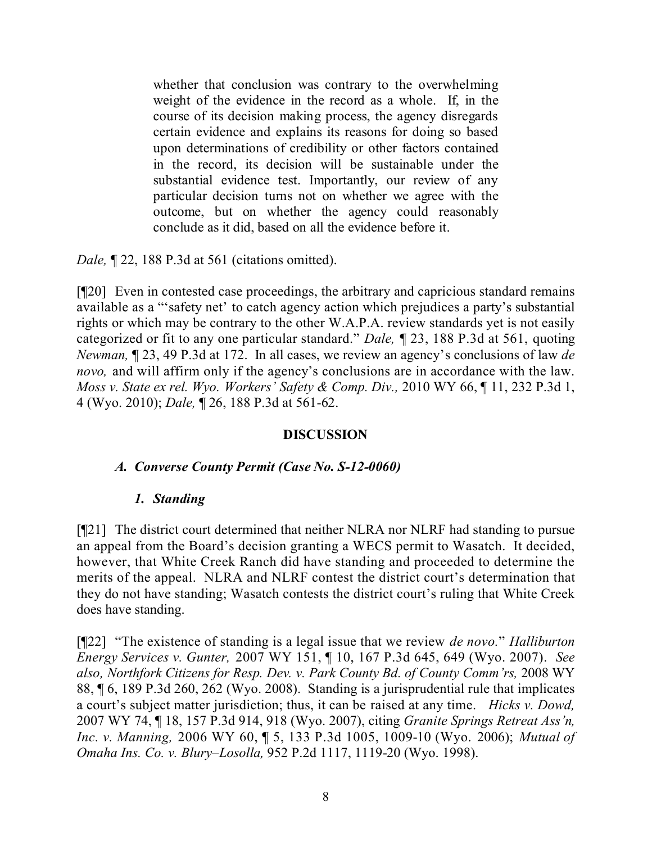whether that conclusion was contrary to the overwhelming weight of the evidence in the record as a whole. If, in the course of its decision making process, the agency disregards certain evidence and explains its reasons for doing so based upon determinations of credibility or other factors contained in the record, its decision will be sustainable under the substantial evidence test. Importantly, our review of any particular decision turns not on whether we agree with the outcome, but on whether the agency could reasonably conclude as it did, based on all the evidence before it.

*Dale*, **[22, 188 P.3d at 561 (citations omitted).** 

[¶20] Even in contested case proceedings, the arbitrary and capricious standard remains available as a "'safety net' to catch agency action which prejudices a party's substantial rights or which may be contrary to the other W.A.P.A. review standards yet is not easily categorized or fit to any one particular standard." *Dale,* ¶ 23, 188 P.3d at 561, quoting *Newman,* ¶ 23, 49 P.3d at 172. In all cases, we review an agency's conclusions of law *de novo*, and will affirm only if the agency's conclusions are in accordance with the law. *Moss v. State ex rel. Wyo. Workers' Safety & Comp. Div.,* 2010 WY 66, ¶ 11, 232 P.3d 1, 4 (Wyo. 2010); *Dale,* ¶ 26, 188 P.3d at 561-62.

#### **DISCUSSION**

#### *A. Converse County Permit (Case No. S-12-0060)*

## *1. Standing*

[¶21] The district court determined that neither NLRA nor NLRF had standing to pursue an appeal from the Board's decision granting a WECS permit to Wasatch. It decided, however, that White Creek Ranch did have standing and proceeded to determine the merits of the appeal. NLRA and NLRF contest the district court's determination that they do not have standing; Wasatch contests the district court's ruling that White Creek does have standing.

[¶22] "The existence of standing is a legal issue that we review *de novo.*" *Halliburton Energy Services v. Gunter,* 2007 WY 151, ¶ 10, 167 P.3d 645, 649 (Wyo. 2007). *See also, Northfork Citizens for Resp. Dev. v. Park County Bd. of County Comm'rs,* 2008 WY 88, ¶ 6, 189 P.3d 260, 262 (Wyo. 2008). Standing is a jurisprudential rule that implicates a court's subject matter jurisdiction; thus, it can be raised at any time. *Hicks v. Dowd,*  2007 WY 74, ¶ 18, 157 P.3d 914, 918 (Wyo. 2007), citing *Granite Springs Retreat Ass'n, Inc. v. Manning,* 2006 WY 60, ¶ 5, 133 P.3d 1005, 1009-10 (Wyo. 2006); *Mutual of Omaha Ins. Co. v. Blury–Losolla,* 952 P.2d 1117, 1119-20 (Wyo. 1998).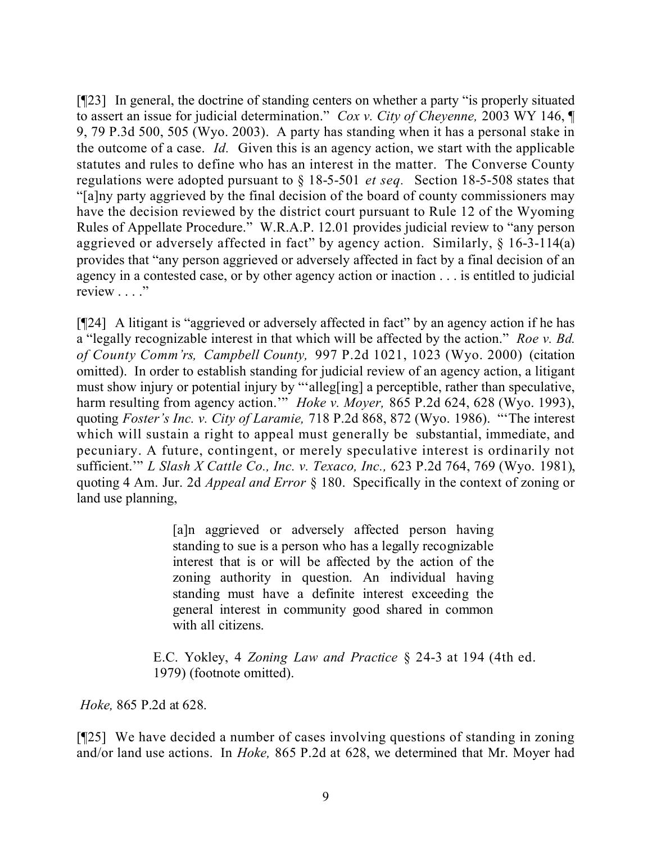[¶23] In general, the doctrine of standing centers on whether a party "is properly situated to assert an issue for judicial determination." *Cox v. City of Cheyenne,* 2003 WY 146, ¶ 9, 79 P.3d 500, 505 (Wyo. 2003). A party has standing when it has a personal stake in the outcome of a case. *Id.* Given this is an agency action, we start with the applicable statutes and rules to define who has an interest in the matter. The Converse County regulations were adopted pursuant to § 18-5-501 *et seq.* Section 18-5-508 states that "[a]ny party aggrieved by the final decision of the board of county commissioners may have the decision reviewed by the district court pursuant to Rule 12 of the Wyoming Rules of Appellate Procedure." W.R.A.P. 12.01 provides judicial review to "any person aggrieved or adversely affected in fact" by agency action. Similarly, § 16-3-114(a) provides that "any person aggrieved or adversely affected in fact by a final decision of an agency in a contested case, or by other agency action or inaction . . . is entitled to judicial review . . . ."

[¶24] A litigant is "aggrieved or adversely affected in fact" by an agency action if he has a "legally recognizable interest in that which will be affected by the action." *Roe v. Bd. of County Comm'rs, Campbell County,* 997 P.2d 1021, 1023 (Wyo. 2000) (citation omitted). In order to establish standing for judicial review of an agency action, a litigant must show injury or potential injury by "'alleg[ing] a perceptible, rather than speculative, harm resulting from agency action.'" *Hoke v. Moyer,* 865 P.2d 624, 628 (Wyo. 1993), quoting *Foster's Inc. v. City of Laramie,* 718 P.2d 868, 872 (Wyo. 1986). "'The interest which will sustain a right to appeal must generally be substantial, immediate, and pecuniary. A future, contingent, or merely speculative interest is ordinarily not sufficient.'" *L Slash X Cattle Co., Inc. v. Texaco, Inc.,* 623 P.2d 764, 769 (Wyo. 1981), quoting 4 Am. Jur. 2d *Appeal and Error* § 180. Specifically in the context of zoning or land use planning,

> [a]n aggrieved or adversely affected person having standing to sue is a person who has a legally recognizable interest that is or will be affected by the action of the zoning authority in question. An individual having standing must have a definite interest exceeding the general interest in community good shared in common with all citizens.

E.C. Yokley, 4 *Zoning Law and Practice* § 24-3 at 194 (4th ed. 1979) (footnote omitted).

*Hoke,* 865 P.2d at 628.

[¶25] We have decided a number of cases involving questions of standing in zoning and/or land use actions. In *Hoke,* 865 P.2d at 628, we determined that Mr. Moyer had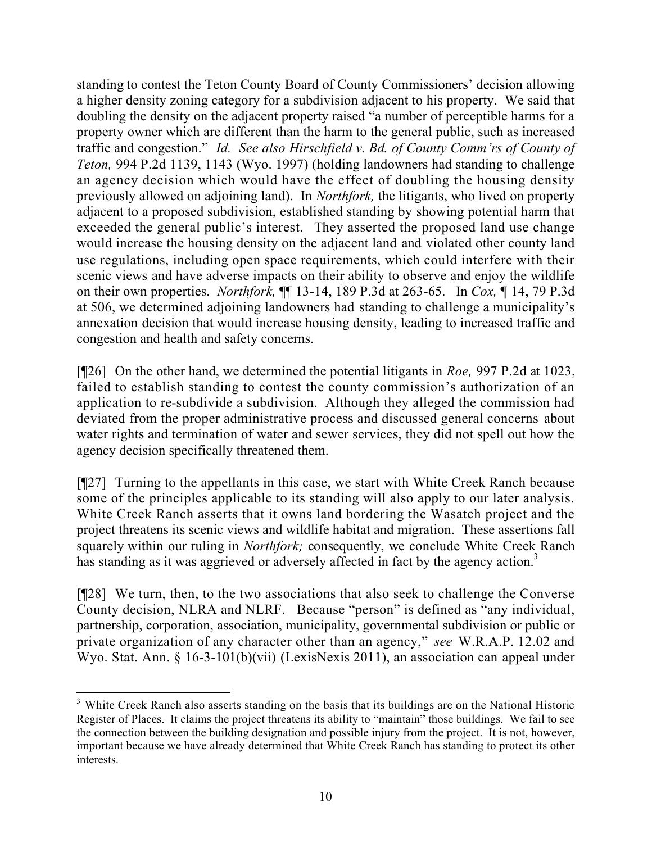standing to contest the Teton County Board of County Commissioners' decision allowing a higher density zoning category for a subdivision adjacent to his property. We said that doubling the density on the adjacent property raised "a number of perceptible harms for a property owner which are different than the harm to the general public, such as increased traffic and congestion." *Id. See also Hirschfield v. Bd. of County Comm'rs of County of Teton,* 994 P.2d 1139, 1143 (Wyo. 1997) (holding landowners had standing to challenge an agency decision which would have the effect of doubling the housing density previously allowed on adjoining land). In *Northfork,* the litigants, who lived on property adjacent to a proposed subdivision, established standing by showing potential harm that exceeded the general public's interest. They asserted the proposed land use change would increase the housing density on the adjacent land and violated other county land use regulations, including open space requirements, which could interfere with their scenic views and have adverse impacts on their ability to observe and enjoy the wildlife on their own properties. *Northfork,* ¶¶ 13-14, 189 P.3d at 263-65. In *Cox,* ¶ 14, 79 P.3d at 506, we determined adjoining landowners had standing to challenge a municipality's annexation decision that would increase housing density, leading to increased traffic and congestion and health and safety concerns.

[¶26] On the other hand, we determined the potential litigants in *Roe,* 997 P.2d at 1023, failed to establish standing to contest the county commission's authorization of an application to re-subdivide a subdivision. Although they alleged the commission had deviated from the proper administrative process and discussed general concerns about water rights and termination of water and sewer services, they did not spell out how the agency decision specifically threatened them.

[¶27] Turning to the appellants in this case, we start with White Creek Ranch because some of the principles applicable to its standing will also apply to our later analysis. White Creek Ranch asserts that it owns land bordering the Wasatch project and the project threatens its scenic views and wildlife habitat and migration. These assertions fall squarely within our ruling in *Northfork;* consequently, we conclude White Creek Ranch has standing as it was aggrieved or adversely affected in fact by the agency action.<sup>3</sup>

[¶28] We turn, then, to the two associations that also seek to challenge the Converse County decision, NLRA and NLRF. Because "person" is defined as "any individual, partnership, corporation, association, municipality, governmental subdivision or public or private organization of any character other than an agency," *see* W.R.A.P. 12.02 and Wyo. Stat. Ann. § 16-3-101(b)(vii) (LexisNexis 2011), an association can appeal under

 $\overline{a}$ <sup>3</sup> White Creek Ranch also asserts standing on the basis that its buildings are on the National Historic Register of Places. It claims the project threatens its ability to "maintain" those buildings. We fail to see the connection between the building designation and possible injury from the project. It is not, however, important because we have already determined that White Creek Ranch has standing to protect its other interests.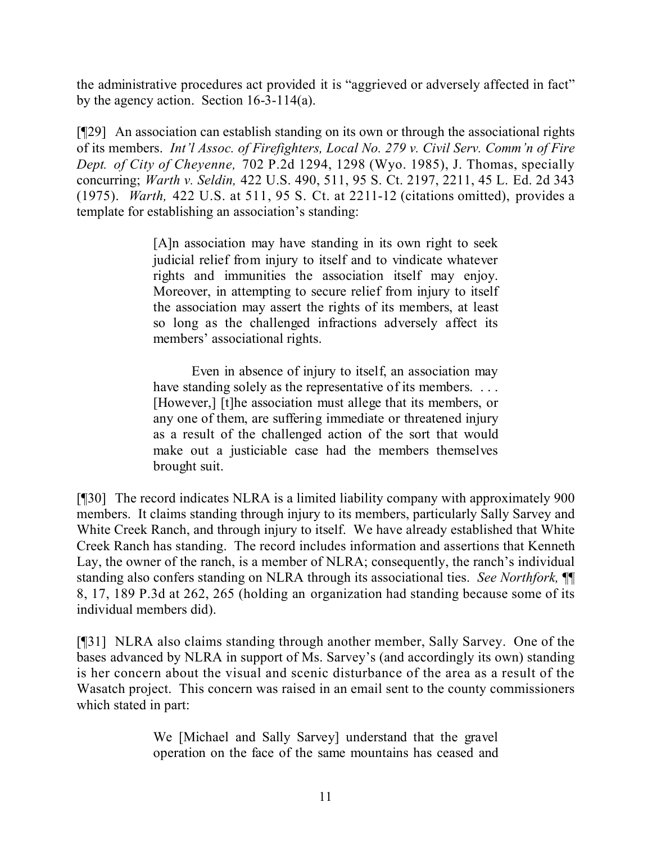the administrative procedures act provided it is "aggrieved or adversely affected in fact" by the agency action. Section 16-3-114(a).

[¶29] An association can establish standing on its own or through the associational rights of its members. *Int'l Assoc. of Firefighters, Local No. 279 v. Civil Serv. Comm'n of Fire Dept. of City of Cheyenne,* 702 P.2d 1294, 1298 (Wyo. 1985), J. Thomas, specially concurring; *Warth v. Seldin,* 422 U.S. 490, 511, 95 S. Ct. 2197, 2211, 45 L. Ed. 2d 343 (1975). *Warth,* 422 U.S. at 511, 95 S. Ct. at 2211-12 (citations omitted), provides a template for establishing an association's standing:

> [A]n association may have standing in its own right to seek judicial relief from injury to itself and to vindicate whatever rights and immunities the association itself may enjoy. Moreover, in attempting to secure relief from injury to itself the association may assert the rights of its members, at least so long as the challenged infractions adversely affect its members' associational rights.

> Even in absence of injury to itself, an association may have standing solely as the representative of its members. ... [However,] [t]he association must allege that its members, or any one of them, are suffering immediate or threatened injury as a result of the challenged action of the sort that would make out a justiciable case had the members themselves brought suit.

[¶30] The record indicates NLRA is a limited liability company with approximately 900 members. It claims standing through injury to its members, particularly Sally Sarvey and White Creek Ranch, and through injury to itself. We have already established that White Creek Ranch has standing. The record includes information and assertions that Kenneth Lay, the owner of the ranch, is a member of NLRA; consequently, the ranch's individual standing also confers standing on NLRA through its associational ties. *See Northfork,* ¶¶ 8, 17, 189 P.3d at 262, 265 (holding an organization had standing because some of its individual members did).

[¶31] NLRA also claims standing through another member, Sally Sarvey. One of the bases advanced by NLRA in support of Ms. Sarvey's (and accordingly its own) standing is her concern about the visual and scenic disturbance of the area as a result of the Wasatch project. This concern was raised in an email sent to the county commissioners which stated in part:

> We [Michael and Sally Sarvey] understand that the gravel operation on the face of the same mountains has ceased and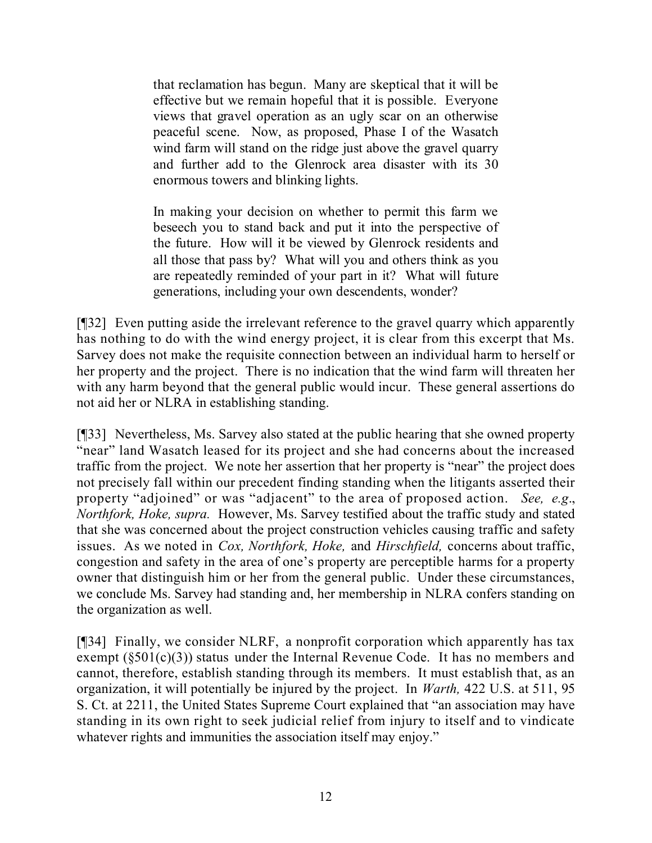that reclamation has begun. Many are skeptical that it will be effective but we remain hopeful that it is possible. Everyone views that gravel operation as an ugly scar on an otherwise peaceful scene. Now, as proposed, Phase I of the Wasatch wind farm will stand on the ridge just above the gravel quarry and further add to the Glenrock area disaster with its 30 enormous towers and blinking lights.

In making your decision on whether to permit this farm we beseech you to stand back and put it into the perspective of the future. How will it be viewed by Glenrock residents and all those that pass by? What will you and others think as you are repeatedly reminded of your part in it? What will future generations, including your own descendents, wonder?

[¶32] Even putting aside the irrelevant reference to the gravel quarry which apparently has nothing to do with the wind energy project, it is clear from this excerpt that Ms. Sarvey does not make the requisite connection between an individual harm to herself or her property and the project. There is no indication that the wind farm will threaten her with any harm beyond that the general public would incur. These general assertions do not aid her or NLRA in establishing standing.

[¶33] Nevertheless, Ms. Sarvey also stated at the public hearing that she owned property "near" land Wasatch leased for its project and she had concerns about the increased traffic from the project. We note her assertion that her property is "near" the project does not precisely fall within our precedent finding standing when the litigants asserted their property "adjoined" or was "adjacent" to the area of proposed action. *See, e.g*., *Northfork, Hoke, supra.* However, Ms. Sarvey testified about the traffic study and stated that she was concerned about the project construction vehicles causing traffic and safety issues. As we noted in *Cox, Northfork, Hoke,* and *Hirschfield,* concerns about traffic, congestion and safety in the area of one's property are perceptible harms for a property owner that distinguish him or her from the general public. Under these circumstances, we conclude Ms. Sarvey had standing and, her membership in NLRA confers standing on the organization as well.

[¶34] Finally, we consider NLRF, a nonprofit corporation which apparently has tax exempt  $(\S 501(c)(3))$  status under the Internal Revenue Code. It has no members and cannot, therefore, establish standing through its members. It must establish that, as an organization, it will potentially be injured by the project. In *Warth,* 422 U.S. at 511, 95 S. Ct. at 2211, the United States Supreme Court explained that "an association may have standing in its own right to seek judicial relief from injury to itself and to vindicate whatever rights and immunities the association itself may enjoy."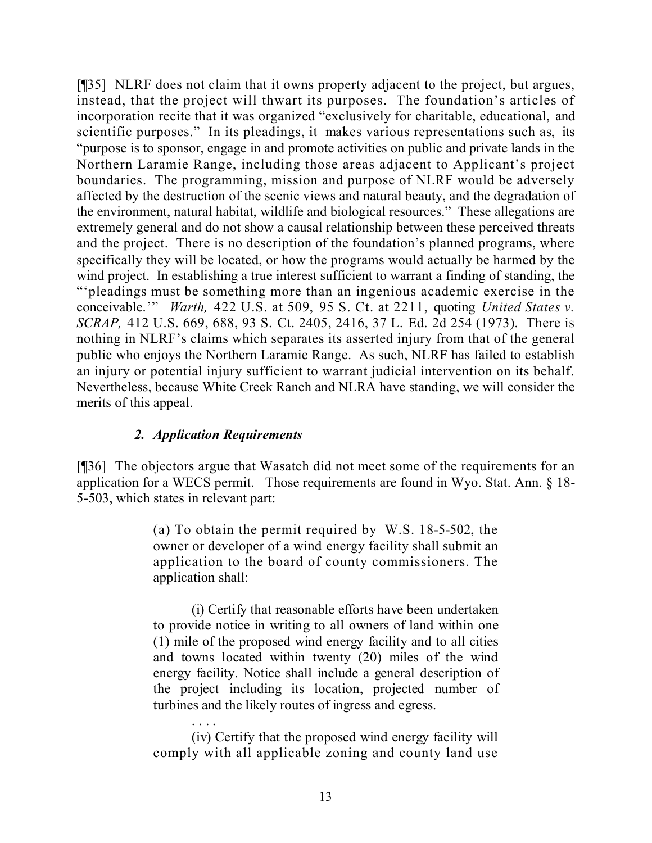[¶35] NLRF does not claim that it owns property adjacent to the project, but argues, instead, that the project will thwart its purposes. The foundation's articles of incorporation recite that it was organized "exclusively for charitable, educational, and scientific purposes." In its pleadings, it makes various representations such as, its "purpose is to sponsor, engage in and promote activities on public and private lands in the Northern Laramie Range, including those areas adjacent to Applicant's project boundaries. The programming, mission and purpose of NLRF would be adversely affected by the destruction of the scenic views and natural beauty, and the degradation of the environment, natural habitat, wildlife and biological resources." These allegations are extremely general and do not show a causal relationship between these perceived threats and the project. There is no description of the foundation's planned programs, where specifically they will be located, or how the programs would actually be harmed by the wind project. In establishing a true interest sufficient to warrant a finding of standing, the "'pleadings must be something more than an ingenious academic exercise in the conceivable.'" *Warth,* 422 U.S. at 509, 95 S. Ct. at 2211, quoting *United States v. SCRAP,* 412 U.S. 669, 688, 93 S. Ct. 2405, 2416, 37 L. Ed. 2d 254 (1973). There is nothing in NLRF's claims which separates its asserted injury from that of the general public who enjoys the Northern Laramie Range. As such, NLRF has failed to establish an injury or potential injury sufficient to warrant judicial intervention on its behalf. Nevertheless, because White Creek Ranch and NLRA have standing, we will consider the merits of this appeal.

# *2. Application Requirements*

[¶36] The objectors argue that Wasatch did not meet some of the requirements for an application for a WECS permit. Those requirements are found in Wyo. Stat. Ann. § 18- 5-503, which states in relevant part:

> (a) To obtain the permit required by W.S. 18-5-502, the owner or developer of a wind energy facility shall submit an application to the board of county commissioners. The application shall:

> (i) Certify that reasonable efforts have been undertaken to provide notice in writing to all owners of land within one (1) mile of the proposed wind energy facility and to all cities and towns located within twenty (20) miles of the wind energy facility. Notice shall include a general description of the project including its location, projected number of turbines and the likely routes of ingress and egress.

> . . . . (iv) Certify that the proposed wind energy facility will comply with all applicable zoning and county land use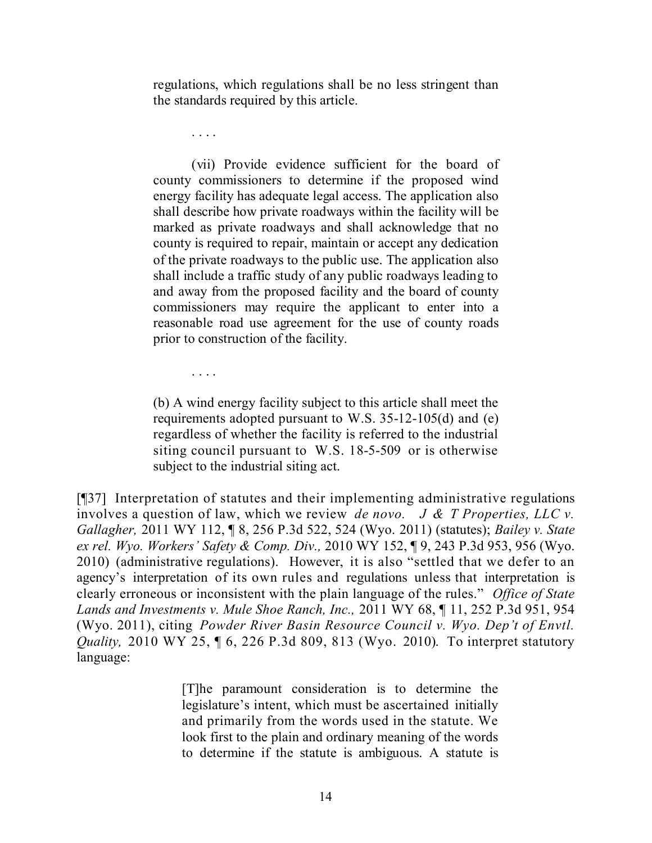regulations, which regulations shall be no less stringent than the standards required by this article.

. . . .

. . . .

(vii) Provide evidence sufficient for the board of county commissioners to determine if the proposed wind energy facility has adequate legal access. The application also shall describe how private roadways within the facility will be marked as private roadways and shall acknowledge that no county is required to repair, maintain or accept any dedication of the private roadways to the public use. The application also shall include a traffic study of any public roadways leading to and away from the proposed facility and the board of county commissioners may require the applicant to enter into a reasonable road use agreement for the use of county roads prior to construction of the facility.

(b) A wind energy facility subject to this article shall meet the requirements adopted pursuant to W.S. 35-12-105(d) and (e) regardless of whether the facility is referred to the industrial siting council pursuant to W.S. 18-5-509 or is otherwise subject to the industrial siting act.

[¶37] Interpretation of statutes and their implementing administrative regulations involves a question of law, which we review *de novo. J & T Properties, LLC v. Gallagher,* 2011 WY 112, ¶ 8, 256 P.3d 522, 524 (Wyo. 2011) (statutes); *Bailey v. State ex rel. Wyo. Workers' Safety & Comp. Div.,* 2010 WY 152, ¶ 9, 243 P.3d 953, 956 (Wyo. 2010) (administrative regulations). However, it is also "settled that we defer to an agency's interpretation of its own rules and regulations unless that interpretation is clearly erroneous or inconsistent with the plain language of the rules." *Office of State Lands and Investments v. Mule Shoe Ranch, Inc.,* 2011 WY 68, ¶ 11, 252 P.3d 951, 954 (Wyo. 2011), citing *Powder River Basin Resource Council v. Wyo. Dep't of Envtl. Quality,* 2010 WY 25, ¶ 6, 226 P.3d 809, 813 (Wyo. 2010). To interpret statutory language:

> [T]he paramount consideration is to determine the legislature's intent, which must be ascertained initially and primarily from the words used in the statute. We look first to the plain and ordinary meaning of the words to determine if the statute is ambiguous. A statute is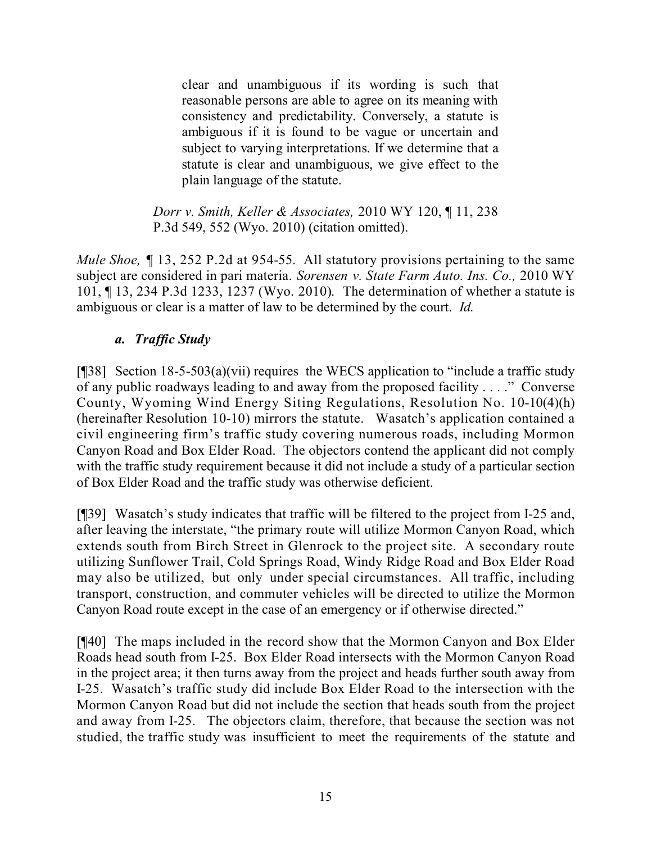clear and unambiguous if its wording is such that reasonable persons are able to agree on its meaning with consistency and predictability. Conversely, a statute is ambiguous if it is found to be vague or uncertain and subject to varying interpretations. If we determine that a statute is clear and unambiguous, we give effect to the plain language of the statute.

*Dorr v. Smith, Keller & Associates,* 2010 WY 120, ¶ 11, 238 P.3d 549, 552 (Wyo. 2010) (citation omitted).

*Mule Shoe,* ¶ 13, 252 P.2d at 954-55. All statutory provisions pertaining to the same subject are considered in pari materia. *Sorensen v. State Farm Auto. Ins. Co.,* 2010 WY 101, ¶ 13, 234 P.3d 1233, 1237 (Wyo. 2010). The determination of whether a statute is ambiguous or clear is a matter of law to be determined by the court. *Id.*

## *a. Traffic Study*

[ $[$ ][38] Section 18-5-503(a)(vii) requires the WECS application to "include a traffic study of any public roadways leading to and away from the proposed facility . . . ." Converse County, Wyoming Wind Energy Siting Regulations, Resolution No. 10-10(4)(h) (hereinafter Resolution 10-10) mirrors the statute. Wasatch's application contained a civil engineering firm's traffic study covering numerous roads, including Mormon Canyon Road and Box Elder Road. The objectors contend the applicant did not comply with the traffic study requirement because it did not include a study of a particular section of Box Elder Road and the traffic study was otherwise deficient.

[¶39] Wasatch's study indicates that traffic will be filtered to the project from I-25 and, after leaving the interstate, "the primary route will utilize Mormon Canyon Road, which extends south from Birch Street in Glenrock to the project site. A secondary route utilizing Sunflower Trail, Cold Springs Road, Windy Ridge Road and Box Elder Road may also be utilized, but only under special circumstances. All traffic, including transport, construction, and commuter vehicles will be directed to utilize the Mormon Canyon Road route except in the case of an emergency or if otherwise directed."

[¶40] The maps included in the record show that the Mormon Canyon and Box Elder Roads head south from I-25. Box Elder Road intersects with the Mormon Canyon Road in the project area; it then turns away from the project and heads further south away from I-25. Wasatch's traffic study did include Box Elder Road to the intersection with the Mormon Canyon Road but did not include the section that heads south from the project and away from I-25. The objectors claim, therefore, that because the section was not studied, the traffic study was insufficient to meet the requirements of the statute and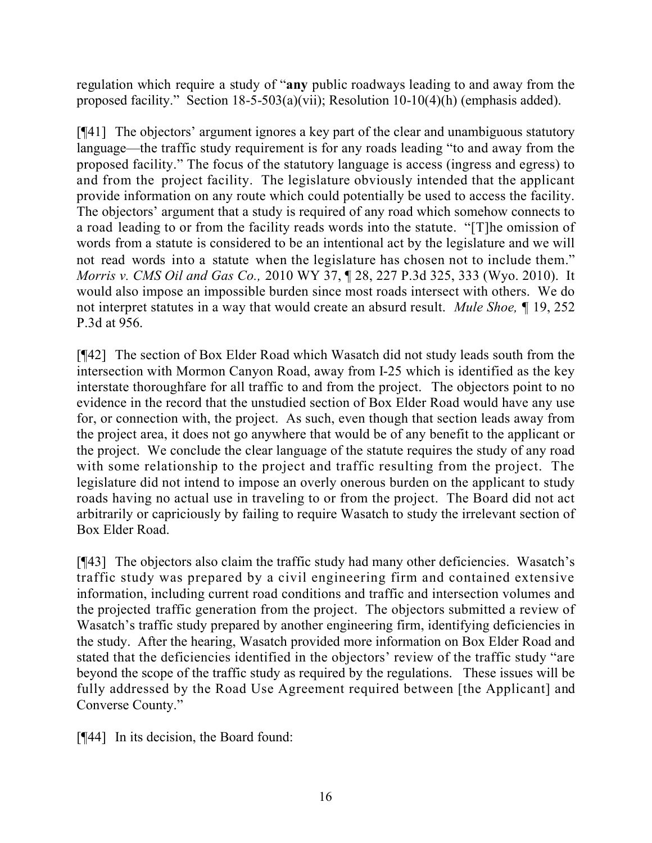regulation which require a study of "**any** public roadways leading to and away from the proposed facility." Section 18-5-503(a)(vii); Resolution 10-10(4)(h) (emphasis added).

[¶41] The objectors' argument ignores a key part of the clear and unambiguous statutory language—the traffic study requirement is for any roads leading "to and away from the proposed facility." The focus of the statutory language is access (ingress and egress) to and from the project facility. The legislature obviously intended that the applicant provide information on any route which could potentially be used to access the facility. The objectors' argument that a study is required of any road which somehow connects to a road leading to or from the facility reads words into the statute. "[T]he omission of words from a statute is considered to be an intentional act by the legislature and we will not read words into a statute when the legislature has chosen not to include them." *Morris v. CMS Oil and Gas Co.,* 2010 WY 37, ¶ 28, 227 P.3d 325, 333 (Wyo. 2010). It would also impose an impossible burden since most roads intersect with others. We do not interpret statutes in a way that would create an absurd result. *Mule Shoe,* ¶ 19, 252 P.3d at 956.

[¶42] The section of Box Elder Road which Wasatch did not study leads south from the intersection with Mormon Canyon Road, away from I-25 which is identified as the key interstate thoroughfare for all traffic to and from the project. The objectors point to no evidence in the record that the unstudied section of Box Elder Road would have any use for, or connection with, the project. As such, even though that section leads away from the project area, it does not go anywhere that would be of any benefit to the applicant or the project. We conclude the clear language of the statute requires the study of any road with some relationship to the project and traffic resulting from the project. The legislature did not intend to impose an overly onerous burden on the applicant to study roads having no actual use in traveling to or from the project. The Board did not act arbitrarily or capriciously by failing to require Wasatch to study the irrelevant section of Box Elder Road.

[¶43] The objectors also claim the traffic study had many other deficiencies. Wasatch's traffic study was prepared by a civil engineering firm and contained extensive information, including current road conditions and traffic and intersection volumes and the projected traffic generation from the project. The objectors submitted a review of Wasatch's traffic study prepared by another engineering firm, identifying deficiencies in the study. After the hearing, Wasatch provided more information on Box Elder Road and stated that the deficiencies identified in the objectors' review of the traffic study "are beyond the scope of the traffic study as required by the regulations. These issues will be fully addressed by the Road Use Agreement required between [the Applicant] and Converse County."

[¶44] In its decision, the Board found: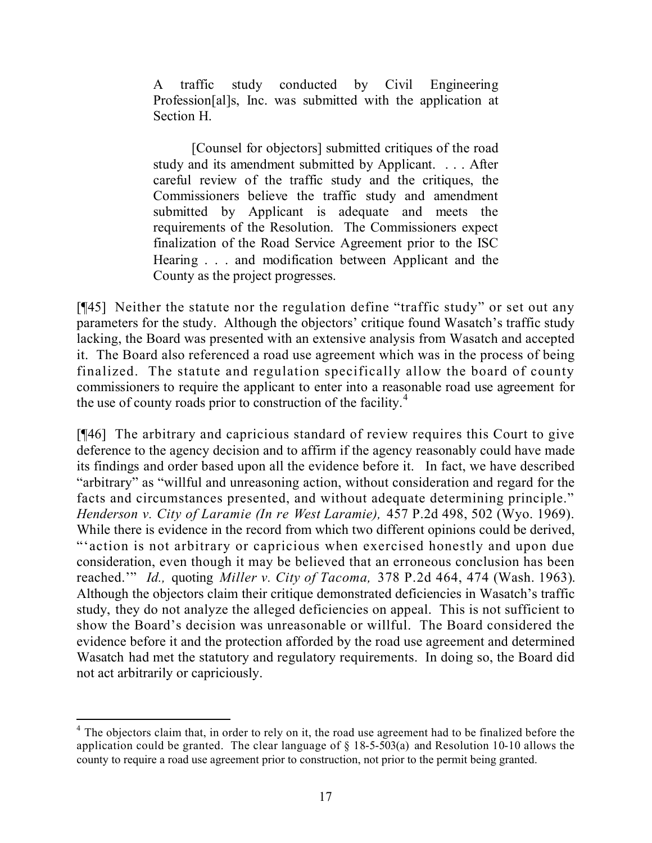A traffic study conducted by Civil Engineering Profession[al]s, Inc. was submitted with the application at Section H.

[Counsel for objectors] submitted critiques of the road study and its amendment submitted by Applicant. . . . After careful review of the traffic study and the critiques, the Commissioners believe the traffic study and amendment submitted by Applicant is adequate and meets the requirements of the Resolution. The Commissioners expect finalization of the Road Service Agreement prior to the ISC Hearing . . . and modification between Applicant and the County as the project progresses.

[¶45] Neither the statute nor the regulation define "traffic study" or set out any parameters for the study. Although the objectors' critique found Wasatch's traffic study lacking, the Board was presented with an extensive analysis from Wasatch and accepted it. The Board also referenced a road use agreement which was in the process of being finalized. The statute and regulation specifically allow the board of county commissioners to require the applicant to enter into a reasonable road use agreement for the use of county roads prior to construction of the facility.<sup>4</sup>

[¶46] The arbitrary and capricious standard of review requires this Court to give deference to the agency decision and to affirm if the agency reasonably could have made its findings and order based upon all the evidence before it. In fact, we have described "arbitrary" as "willful and unreasoning action, without consideration and regard for the facts and circumstances presented, and without adequate determining principle." *Henderson v. City of Laramie (In re West Laramie),* 457 P.2d 498, 502 (Wyo. 1969). While there is evidence in the record from which two different opinions could be derived, "'action is not arbitrary or capricious when exercised honestly and upon due consideration, even though it may be believed that an erroneous conclusion has been reached.'" *Id.,* quoting *Miller v. City of Tacoma,* 378 P.2d 464, 474 (Wash. 1963). Although the objectors claim their critique demonstrated deficiencies in Wasatch's traffic study, they do not analyze the alleged deficiencies on appeal. This is not sufficient to show the Board's decision was unreasonable or willful. The Board considered the evidence before it and the protection afforded by the road use agreement and determined Wasatch had met the statutory and regulatory requirements. In doing so, the Board did not act arbitrarily or capriciously.

 <sup>4</sup> The objectors claim that, in order to rely on it, the road use agreement had to be finalized before the application could be granted. The clear language of § 18-5-503(a) and Resolution 10-10 allows the county to require a road use agreement prior to construction, not prior to the permit being granted.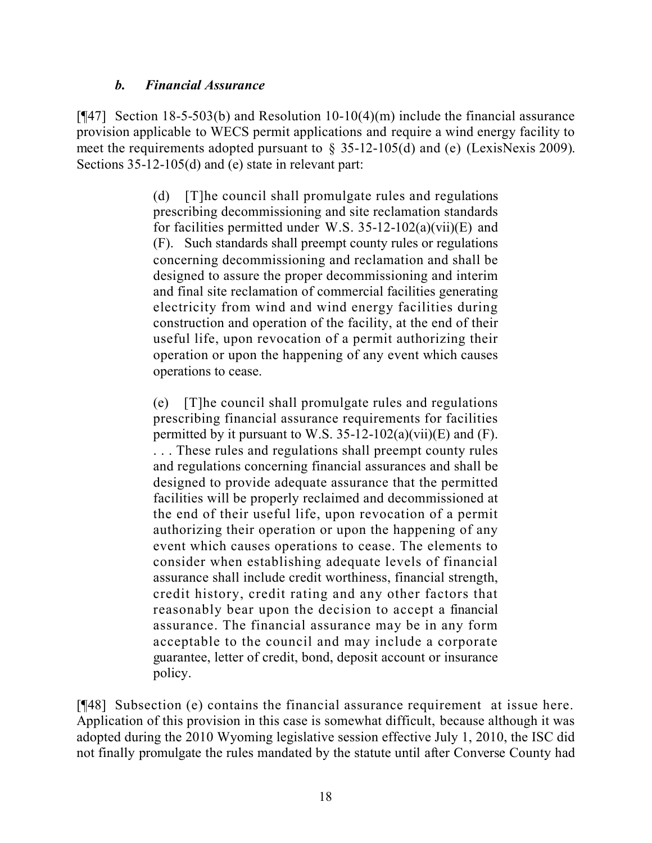## *b. Financial Assurance*

[¶47] Section 18-5-503(b) and Resolution 10-10(4)(m) include the financial assurance provision applicable to WECS permit applications and require a wind energy facility to meet the requirements adopted pursuant to  $\S$  35-12-105(d) and (e) (LexisNexis 2009). Sections 35-12-105(d) and (e) state in relevant part:

> (d) [T]he council shall promulgate rules and regulations prescribing decommissioning and site reclamation standards for facilities permitted under W.S. 35-12-102(a)(vii)(E) and (F). Such standards shall preempt county rules or regulations concerning decommissioning and reclamation and shall be designed to assure the proper decommissioning and interim and final site reclamation of commercial facilities generating electricity from wind and wind energy facilities during construction and operation of the facility, at the end of their useful life, upon revocation of a permit authorizing their operation or upon the happening of any event which causes operations to cease.

> (e) [T]he council shall promulgate rules and regulations prescribing financial assurance requirements for facilities permitted by it pursuant to W.S.  $35-12-102(a)(vii)(E)$  and (F). . . . These rules and regulations shall preempt county rules and regulations concerning financial assurances and shall be designed to provide adequate assurance that the permitted facilities will be properly reclaimed and decommissioned at the end of their useful life, upon revocation of a permit authorizing their operation or upon the happening of any event which causes operations to cease. The elements to consider when establishing adequate levels of financial assurance shall include credit worthiness, financial strength, credit history, credit rating and any other factors that reasonably bear upon the decision to accept a financial assurance. The financial assurance may be in any form acceptable to the council and may include a corporate guarantee, letter of credit, bond, deposit account or insurance policy.

[¶48] Subsection (e) contains the financial assurance requirement at issue here. Application of this provision in this case is somewhat difficult, because although it was adopted during the 2010 Wyoming legislative session effective July 1, 2010, the ISC did not finally promulgate the rules mandated by the statute until after Converse County had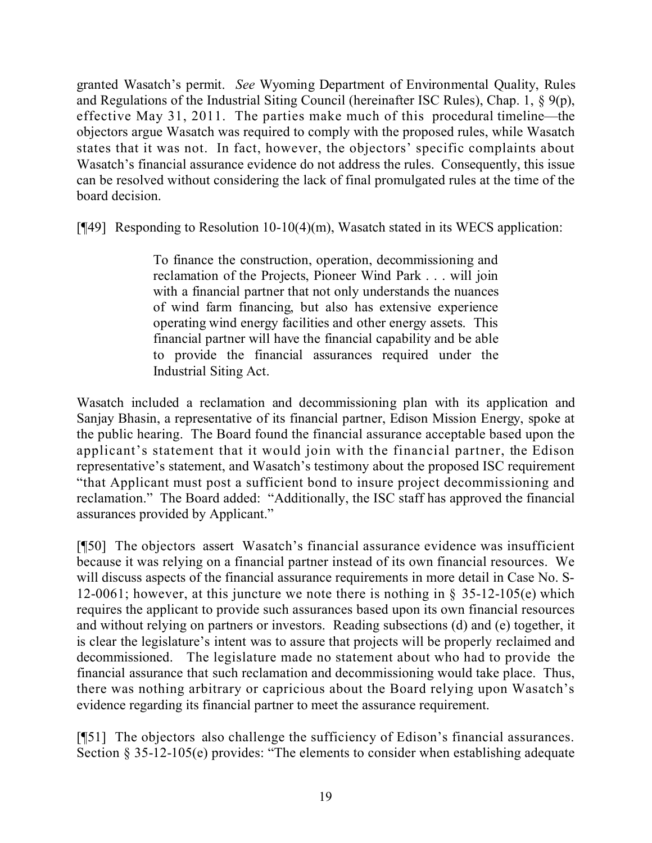granted Wasatch's permit. *See* Wyoming Department of Environmental Quality, Rules and Regulations of the Industrial Siting Council (hereinafter ISC Rules), Chap. 1, § 9(p), effective May 31, 2011. The parties make much of this procedural timeline—the objectors argue Wasatch was required to comply with the proposed rules, while Wasatch states that it was not. In fact, however, the objectors' specific complaints about Wasatch's financial assurance evidence do not address the rules. Consequently, this issue can be resolved without considering the lack of final promulgated rules at the time of the board decision.

[¶49] Responding to Resolution 10-10(4)(m), Wasatch stated in its WECS application:

To finance the construction, operation, decommissioning and reclamation of the Projects, Pioneer Wind Park . . . will join with a financial partner that not only understands the nuances of wind farm financing, but also has extensive experience operating wind energy facilities and other energy assets. This financial partner will have the financial capability and be able to provide the financial assurances required under the Industrial Siting Act.

Wasatch included a reclamation and decommissioning plan with its application and Sanjay Bhasin, a representative of its financial partner, Edison Mission Energy, spoke at the public hearing. The Board found the financial assurance acceptable based upon the applicant's statement that it would join with the financial partner, the Edison representative's statement, and Wasatch's testimony about the proposed ISC requirement "that Applicant must post a sufficient bond to insure project decommissioning and reclamation." The Board added: "Additionally, the ISC staff has approved the financial assurances provided by Applicant."

[¶50] The objectors assert Wasatch's financial assurance evidence was insufficient because it was relying on a financial partner instead of its own financial resources. We will discuss aspects of the financial assurance requirements in more detail in Case No. S-12-0061; however, at this juncture we note there is nothing in § 35-12-105(e) which requires the applicant to provide such assurances based upon its own financial resources and without relying on partners or investors. Reading subsections (d) and (e) together, it is clear the legislature's intent was to assure that projects will be properly reclaimed and decommissioned. The legislature made no statement about who had to provide the financial assurance that such reclamation and decommissioning would take place. Thus, there was nothing arbitrary or capricious about the Board relying upon Wasatch's evidence regarding its financial partner to meet the assurance requirement.

[¶51] The objectors also challenge the sufficiency of Edison's financial assurances. Section § 35-12-105(e) provides: "The elements to consider when establishing adequate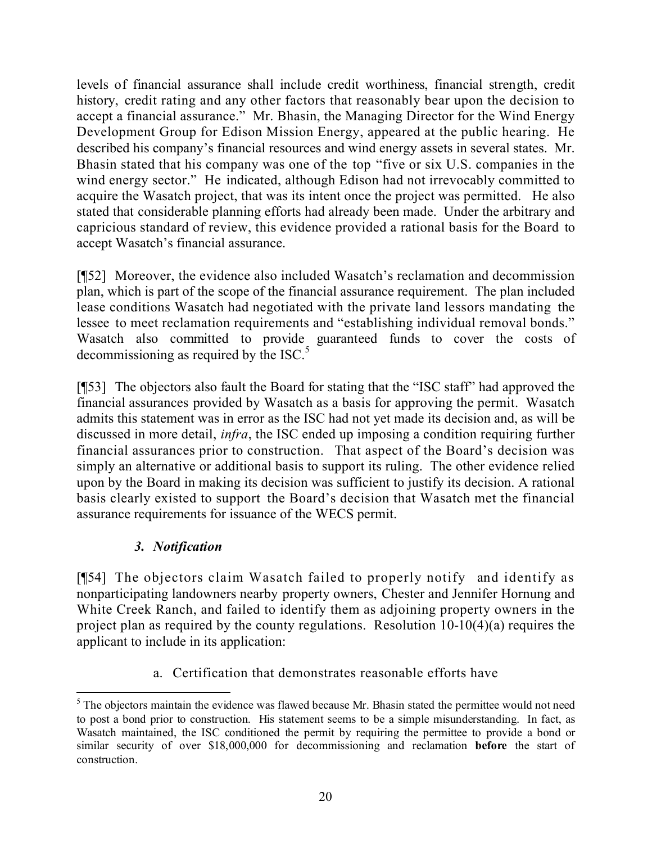levels of financial assurance shall include credit worthiness, financial strength, credit history, credit rating and any other factors that reasonably bear upon the decision to accept a financial assurance." Mr. Bhasin, the Managing Director for the Wind Energy Development Group for Edison Mission Energy, appeared at the public hearing. He described his company's financial resources and wind energy assets in several states. Mr. Bhasin stated that his company was one of the top "five or six U.S. companies in the wind energy sector." He indicated, although Edison had not irrevocably committed to acquire the Wasatch project, that was its intent once the project was permitted. He also stated that considerable planning efforts had already been made. Under the arbitrary and capricious standard of review, this evidence provided a rational basis for the Board to accept Wasatch's financial assurance.

[¶52] Moreover, the evidence also included Wasatch's reclamation and decommission plan, which is part of the scope of the financial assurance requirement. The plan included lease conditions Wasatch had negotiated with the private land lessors mandating the lessee to meet reclamation requirements and "establishing individual removal bonds." Wasatch also committed to provide guaranteed funds to cover the costs of decommissioning as required by the ISC. $<sup>5</sup>$ </sup>

[¶53] The objectors also fault the Board for stating that the "ISC staff" had approved the financial assurances provided by Wasatch as a basis for approving the permit. Wasatch admits this statement was in error as the ISC had not yet made its decision and, as will be discussed in more detail, *infra*, the ISC ended up imposing a condition requiring further financial assurances prior to construction. That aspect of the Board's decision was simply an alternative or additional basis to support its ruling. The other evidence relied upon by the Board in making its decision was sufficient to justify its decision. A rational basis clearly existed to support the Board's decision that Wasatch met the financial assurance requirements for issuance of the WECS permit.

# *3. Notification*

[¶54] The objectors claim Wasatch failed to properly notify and identify as nonparticipating landowners nearby property owners, Chester and Jennifer Hornung and White Creek Ranch, and failed to identify them as adjoining property owners in the project plan as required by the county regulations. Resolution 10-10(4)(a) requires the applicant to include in its application:

a. Certification that demonstrates reasonable efforts have

 $\overline{a}$  $<sup>5</sup>$  The objectors maintain the evidence was flawed because Mr. Bhasin stated the permittee would not need</sup> to post a bond prior to construction. His statement seems to be a simple misunderstanding. In fact, as Wasatch maintained, the ISC conditioned the permit by requiring the permittee to provide a bond or similar security of over \$18,000,000 for decommissioning and reclamation **before** the start of construction.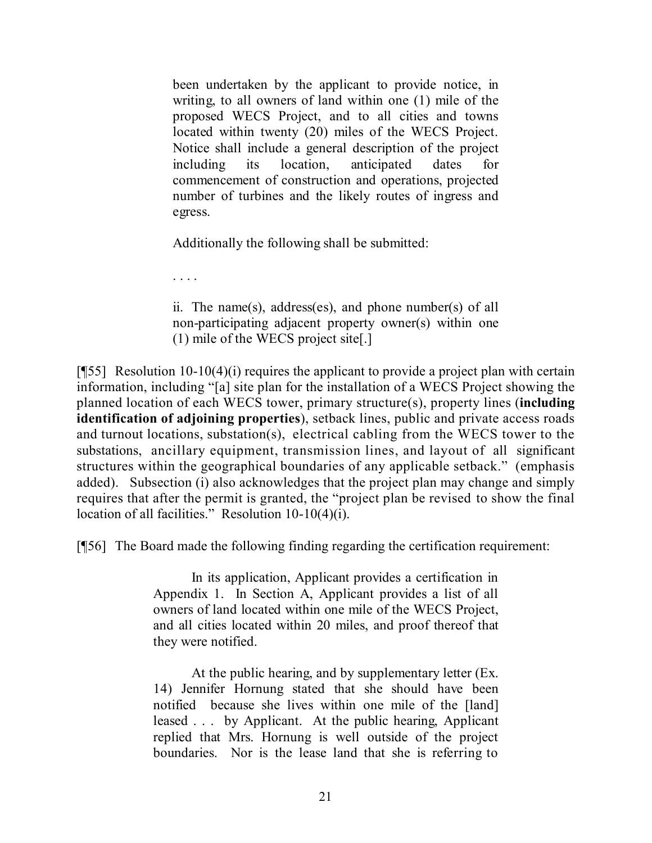been undertaken by the applicant to provide notice, in writing, to all owners of land within one (1) mile of the proposed WECS Project, and to all cities and towns located within twenty (20) miles of the WECS Project. Notice shall include a general description of the project including its location, anticipated dates for commencement of construction and operations, projected number of turbines and the likely routes of ingress and egress.

Additionally the following shall be submitted:

. . . .

ii. The name(s), address(es), and phone number(s) of all non-participating adjacent property owner(s) within one (1) mile of the WECS project site[.]

[¶55] Resolution 10-10(4)(i) requires the applicant to provide a project plan with certain information, including "[a] site plan for the installation of a WECS Project showing the planned location of each WECS tower, primary structure(s), property lines (**including identification of adjoining properties**), setback lines, public and private access roads and turnout locations, substation(s), electrical cabling from the WECS tower to the substations, ancillary equipment, transmission lines, and layout of all significant structures within the geographical boundaries of any applicable setback." (emphasis added). Subsection (i) also acknowledges that the project plan may change and simply requires that after the permit is granted, the "project plan be revised to show the final location of all facilities." Resolution 10-10(4)(i).

[¶56] The Board made the following finding regarding the certification requirement:

In its application, Applicant provides a certification in Appendix 1. In Section A, Applicant provides a list of all owners of land located within one mile of the WECS Project, and all cities located within 20 miles, and proof thereof that they were notified.

At the public hearing, and by supplementary letter (Ex. 14) Jennifer Hornung stated that she should have been notified because she lives within one mile of the [land] leased . . . by Applicant. At the public hearing, Applicant replied that Mrs. Hornung is well outside of the project boundaries. Nor is the lease land that she is referring to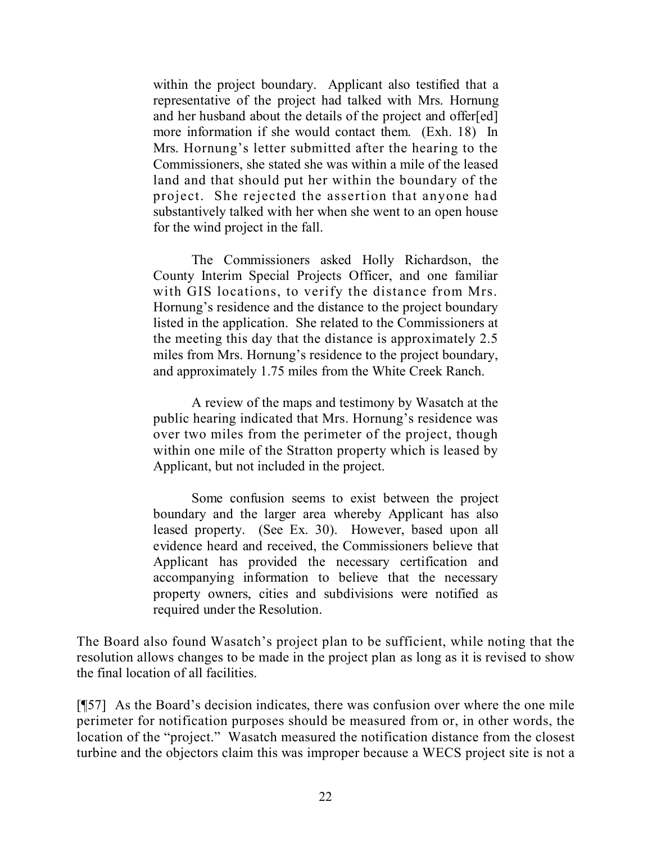within the project boundary. Applicant also testified that a representative of the project had talked with Mrs. Hornung and her husband about the details of the project and offer[ed] more information if she would contact them. (Exh. 18) In Mrs. Hornung's letter submitted after the hearing to the Commissioners, she stated she was within a mile of the leased land and that should put her within the boundary of the project. She rejected the assertion that anyone had substantively talked with her when she went to an open house for the wind project in the fall.

The Commissioners asked Holly Richardson, the County Interim Special Projects Officer, and one familiar with GIS locations, to verify the distance from Mrs. Hornung's residence and the distance to the project boundary listed in the application. She related to the Commissioners at the meeting this day that the distance is approximately 2.5 miles from Mrs. Hornung's residence to the project boundary, and approximately 1.75 miles from the White Creek Ranch.

A review of the maps and testimony by Wasatch at the public hearing indicated that Mrs. Hornung's residence was over two miles from the perimeter of the project, though within one mile of the Stratton property which is leased by Applicant, but not included in the project.

Some confusion seems to exist between the project boundary and the larger area whereby Applicant has also leased property. (See Ex. 30). However, based upon all evidence heard and received, the Commissioners believe that Applicant has provided the necessary certification and accompanying information to believe that the necessary property owners, cities and subdivisions were notified as required under the Resolution.

The Board also found Wasatch's project plan to be sufficient, while noting that the resolution allows changes to be made in the project plan as long as it is revised to show the final location of all facilities.

[¶57] As the Board's decision indicates, there was confusion over where the one mile perimeter for notification purposes should be measured from or, in other words, the location of the "project." Wasatch measured the notification distance from the closest turbine and the objectors claim this was improper because a WECS project site is not a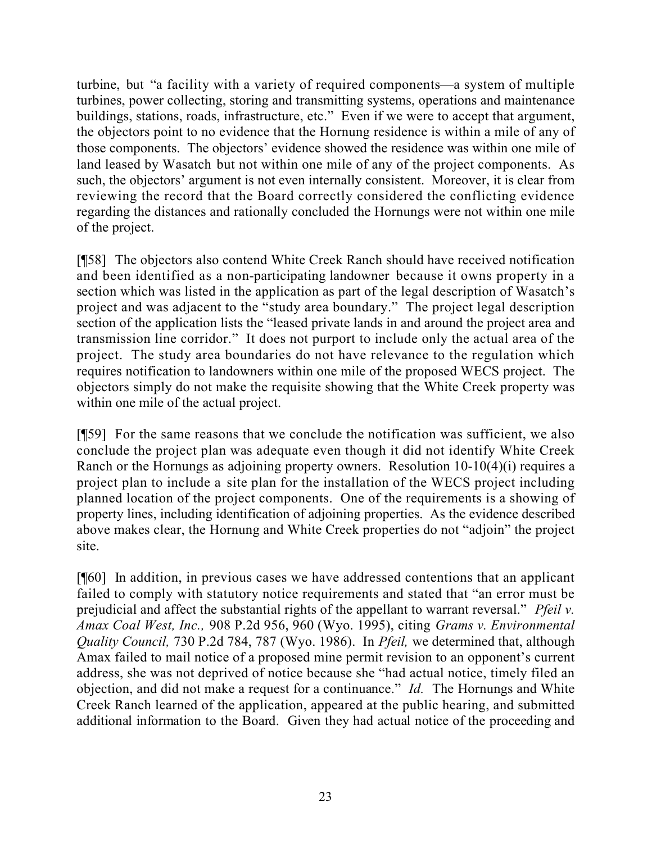turbine, but "a facility with a variety of required components—a system of multiple turbines, power collecting, storing and transmitting systems, operations and maintenance buildings, stations, roads, infrastructure, etc." Even if we were to accept that argument, the objectors point to no evidence that the Hornung residence is within a mile of any of those components. The objectors' evidence showed the residence was within one mile of land leased by Wasatch but not within one mile of any of the project components. As such, the objectors' argument is not even internally consistent. Moreover, it is clear from reviewing the record that the Board correctly considered the conflicting evidence regarding the distances and rationally concluded the Hornungs were not within one mile of the project.

[¶58] The objectors also contend White Creek Ranch should have received notification and been identified as a non-participating landowner because it owns property in a section which was listed in the application as part of the legal description of Wasatch's project and was adjacent to the "study area boundary." The project legal description section of the application lists the "leased private lands in and around the project area and transmission line corridor." It does not purport to include only the actual area of the project. The study area boundaries do not have relevance to the regulation which requires notification to landowners within one mile of the proposed WECS project. The objectors simply do not make the requisite showing that the White Creek property was within one mile of the actual project.

[¶59] For the same reasons that we conclude the notification was sufficient, we also conclude the project plan was adequate even though it did not identify White Creek Ranch or the Hornungs as adjoining property owners. Resolution 10-10(4)(i) requires a project plan to include a site plan for the installation of the WECS project including planned location of the project components. One of the requirements is a showing of property lines, including identification of adjoining properties. As the evidence described above makes clear, the Hornung and White Creek properties do not "adjoin" the project site.

[¶60] In addition, in previous cases we have addressed contentions that an applicant failed to comply with statutory notice requirements and stated that "an error must be prejudicial and affect the substantial rights of the appellant to warrant reversal." *Pfeil v. Amax Coal West, Inc.,* 908 P.2d 956, 960 (Wyo. 1995), citing *Grams v. Environmental Quality Council,* 730 P.2d 784, 787 (Wyo. 1986). In *Pfeil,* we determined that, although Amax failed to mail notice of a proposed mine permit revision to an opponent's current address, she was not deprived of notice because she "had actual notice, timely filed an objection, and did not make a request for a continuance." *Id.* The Hornungs and White Creek Ranch learned of the application, appeared at the public hearing, and submitted additional information to the Board. Given they had actual notice of the proceeding and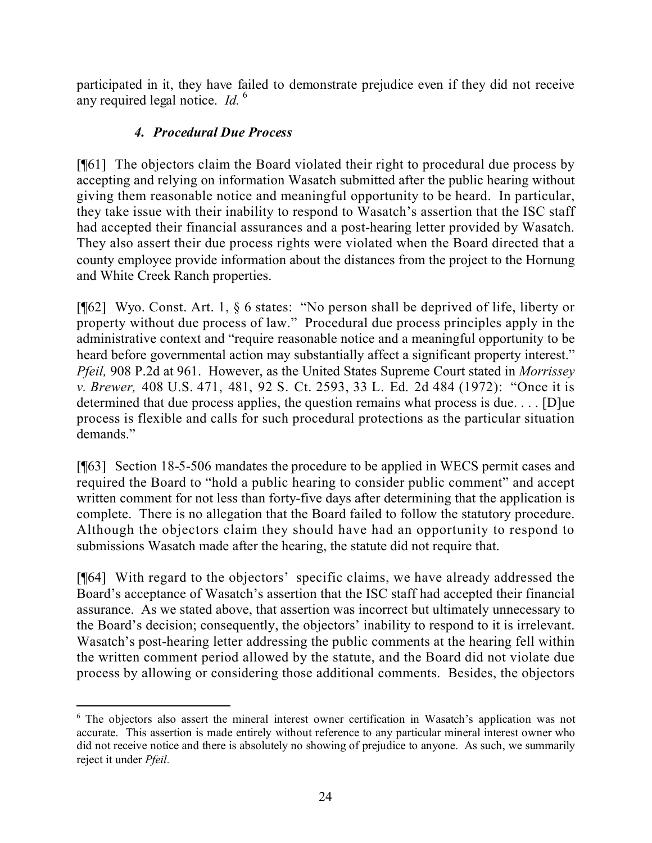participated in it, they have failed to demonstrate prejudice even if they did not receive any required legal notice. *Id.* <sup>6</sup>

# *4. Procedural Due Process*

[¶61] The objectors claim the Board violated their right to procedural due process by accepting and relying on information Wasatch submitted after the public hearing without giving them reasonable notice and meaningful opportunity to be heard. In particular, they take issue with their inability to respond to Wasatch's assertion that the ISC staff had accepted their financial assurances and a post-hearing letter provided by Wasatch. They also assert their due process rights were violated when the Board directed that a county employee provide information about the distances from the project to the Hornung and White Creek Ranch properties.

[¶62] Wyo. Const. Art. 1, § 6 states: "No person shall be deprived of life, liberty or property without due process of law." Procedural due process principles apply in the administrative context and "require reasonable notice and a meaningful opportunity to be heard before governmental action may substantially affect a significant property interest." *Pfeil,* 908 P.2d at 961. However, as the United States Supreme Court stated in *Morrissey v. Brewer,* 408 U.S. 471, 481, 92 S. Ct. 2593, 33 L. Ed. 2d 484 (1972): "Once it is determined that due process applies, the question remains what process is due. . . . [D]ue process is flexible and calls for such procedural protections as the particular situation demands."

[¶63] Section 18-5-506 mandates the procedure to be applied in WECS permit cases and required the Board to "hold a public hearing to consider public comment" and accept written comment for not less than forty-five days after determining that the application is complete. There is no allegation that the Board failed to follow the statutory procedure. Although the objectors claim they should have had an opportunity to respond to submissions Wasatch made after the hearing, the statute did not require that.

[¶64] With regard to the objectors' specific claims, we have already addressed the Board's acceptance of Wasatch's assertion that the ISC staff had accepted their financial assurance. As we stated above, that assertion was incorrect but ultimately unnecessary to the Board's decision; consequently, the objectors' inability to respond to it is irrelevant. Wasatch's post-hearing letter addressing the public comments at the hearing fell within the written comment period allowed by the statute, and the Board did not violate due process by allowing or considering those additional comments. Besides, the objectors

 $\overline{a}$ <sup>6</sup> The objectors also assert the mineral interest owner certification in Wasatch's application was not accurate. This assertion is made entirely without reference to any particular mineral interest owner who did not receive notice and there is absolutely no showing of prejudice to anyone. As such, we summarily reject it under *Pfeil.*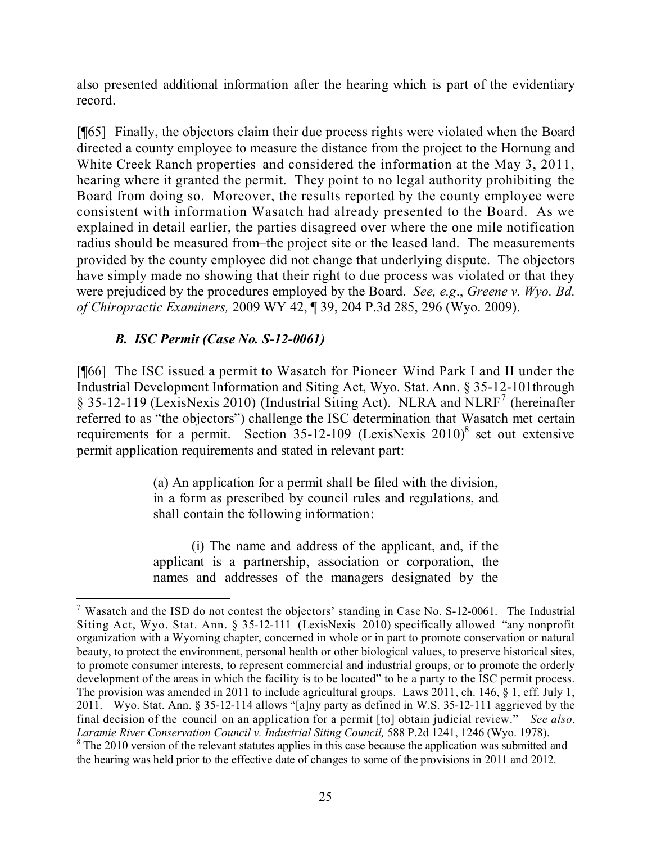also presented additional information after the hearing which is part of the evidentiary record.

[¶65] Finally, the objectors claim their due process rights were violated when the Board directed a county employee to measure the distance from the project to the Hornung and White Creek Ranch properties and considered the information at the May 3, 2011, hearing where it granted the permit. They point to no legal authority prohibiting the Board from doing so. Moreover, the results reported by the county employee were consistent with information Wasatch had already presented to the Board. As we explained in detail earlier, the parties disagreed over where the one mile notification radius should be measured from–the project site or the leased land. The measurements provided by the county employee did not change that underlying dispute. The objectors have simply made no showing that their right to due process was violated or that they were prejudiced by the procedures employed by the Board. *See, e.g*., *Greene v. Wyo. Bd. of Chiropractic Examiners,* 2009 WY 42, ¶ 39, 204 P.3d 285, 296 (Wyo. 2009).

# *B. ISC Permit (Case No. S-12-0061)*

 $\overline{a}$ 

[¶66] The ISC issued a permit to Wasatch for Pioneer Wind Park I and II under the Industrial Development Information and Siting Act, Wyo. Stat. Ann. § 35-12-101through § 35-12-119 (LexisNexis 2010) (Industrial Siting Act). NLRA and NLRF<sup>7</sup> (hereinafter referred to as "the objectors") challenge the ISC determination that Wasatch met certain requirements for a permit. Section  $35-12-109$  (LexisNexis 2010)<sup>8</sup> set out extensive permit application requirements and stated in relevant part:

> (a) An application for a permit shall be filed with the division, in a form as prescribed by council rules and regulations, and shall contain the following information:

> (i) The name and address of the applicant, and, if the applicant is a partnership, association or corporation, the names and addresses of the managers designated by the

<sup>&</sup>lt;sup>7</sup> Wasatch and the ISD do not contest the objectors' standing in Case No. S-12-0061. The Industrial Siting Act, Wyo. Stat. Ann. § 35-12-111 (LexisNexis 2010) specifically allowed "any nonprofit organization with a Wyoming chapter, concerned in whole or in part to promote conservation or natural beauty, to protect the environment, personal health or other biological values, to preserve historical sites, to promote consumer interests, to represent commercial and industrial groups, or to promote the orderly development of the areas in which the facility is to be located" to be a party to the ISC permit process. The provision was amended in 2011 to include agricultural groups. Laws 2011, ch. 146, § 1, eff. July 1, 2011. Wyo. Stat. Ann. § 35-12-114 allows "[a]ny party as defined in W.S. 35-12-111 aggrieved by the final decision of the council on an application for a permit [to] obtain judicial review." *See also*, Laramie River Conservation Council v. Industrial Siting Council, 588 P.2d 1241, 1246 (Wyo. 1978).

<sup>&</sup>lt;sup>8</sup> The 2010 version of the relevant statutes applies in this case because the application was submitted and the hearing was held prior to the effective date of changes to some of the provisions in 2011 and 2012.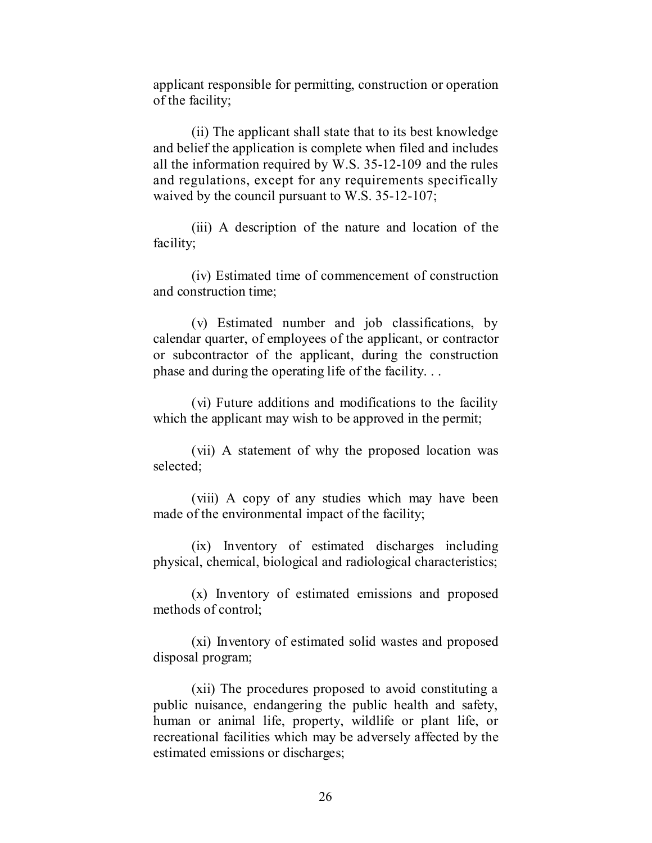applicant responsible for permitting, construction or operation of the facility;

(ii) The applicant shall state that to its best knowledge and belief the application is complete when filed and includes all the information required by W.S. 35-12-109 and the rules and regulations, except for any requirements specifically waived by the council pursuant to W.S. 35-12-107;

(iii) A description of the nature and location of the facility;

(iv) Estimated time of commencement of construction and construction time;

(v) Estimated number and job classifications, by calendar quarter, of employees of the applicant, or contractor or subcontractor of the applicant, during the construction phase and during the operating life of the facility. . .

(vi) Future additions and modifications to the facility which the applicant may wish to be approved in the permit;

(vii) A statement of why the proposed location was selected;

(viii) A copy of any studies which may have been made of the environmental impact of the facility;

(ix) Inventory of estimated discharges including physical, chemical, biological and radiological characteristics;

(x) Inventory of estimated emissions and proposed methods of control;

(xi) Inventory of estimated solid wastes and proposed disposal program;

(xii) The procedures proposed to avoid constituting a public nuisance, endangering the public health and safety, human or animal life, property, wildlife or plant life, or recreational facilities which may be adversely affected by the estimated emissions or discharges;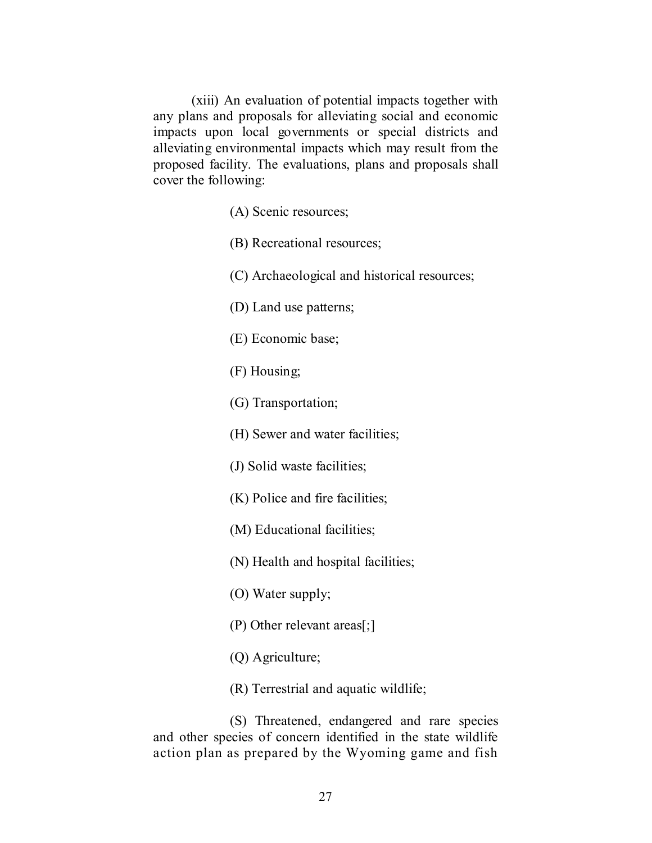(xiii) An evaluation of potential impacts together with any plans and proposals for alleviating social and economic impacts upon local governments or special districts and alleviating environmental impacts which may result from the proposed facility. The evaluations, plans and proposals shall cover the following:

(A) Scenic resources;

(B) Recreational resources;

(C) Archaeological and historical resources;

(D) Land use patterns;

(E) Economic base;

(F) Housing;

(G) Transportation;

(H) Sewer and water facilities;

(J) Solid waste facilities;

(K) Police and fire facilities;

(M) Educational facilities;

(N) Health and hospital facilities;

(O) Water supply;

(P) Other relevant areas[;]

(Q) Agriculture;

(R) Terrestrial and aquatic wildlife;

(S) Threatened, endangered and rare species and other species of concern identified in the state wildlife action plan as prepared by the Wyoming game and fish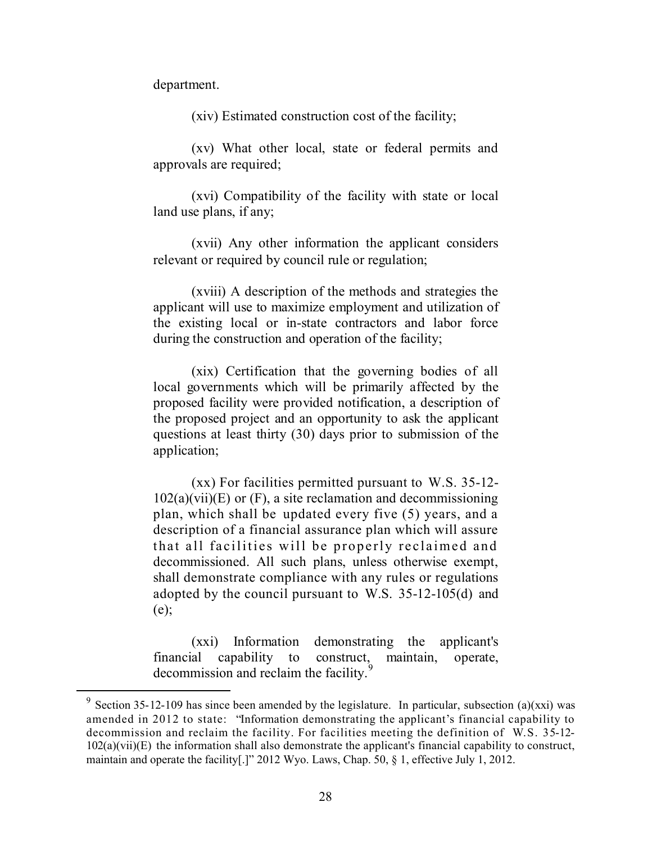department.

 $\overline{a}$ 

(xiv) Estimated construction cost of the facility;

(xv) What other local, state or federal permits and approvals are required;

(xvi) Compatibility of the facility with state or local land use plans, if any;

(xvii) Any other information the applicant considers relevant or required by council rule or regulation;

(xviii) A description of the methods and strategies the applicant will use to maximize employment and utilization of the existing local or in-state contractors and labor force during the construction and operation of the facility;

(xix) Certification that the governing bodies of all local governments which will be primarily affected by the proposed facility were provided notification, a description of the proposed project and an opportunity to ask the applicant questions at least thirty (30) days prior to submission of the application;

(xx) For facilities permitted pursuant to W.S. 35-12-  $102(a)(vii)(E)$  or  $(F)$ , a site reclamation and decommissioning plan, which shall be updated every five (5) years, and a description of a financial assurance plan which will assure that all facilities will be properly reclaimed and decommissioned. All such plans, unless otherwise exempt, shall demonstrate compliance with any rules or regulations adopted by the council pursuant to W.S. 35-12-105(d) and (e);

(xxi) Information demonstrating the applicant's financial capability to construct, maintain, operate, decommission and reclaim the facility.<sup>9</sup>

<sup>&</sup>lt;sup>9</sup> Section 35-12-109 has since been amended by the legislature. In particular, subsection (a)(xxi) was amended in 2012 to state: "Information demonstrating the applicant's financial capability to decommission and reclaim the facility. For facilities meeting the definition of W.S. 35-12- 102(a)(vii)(E) the information shall also demonstrate the applicant's financial capability to construct, maintain and operate the facility[.]" 2012 Wyo. Laws, Chap. 50, § 1, effective July 1, 2012.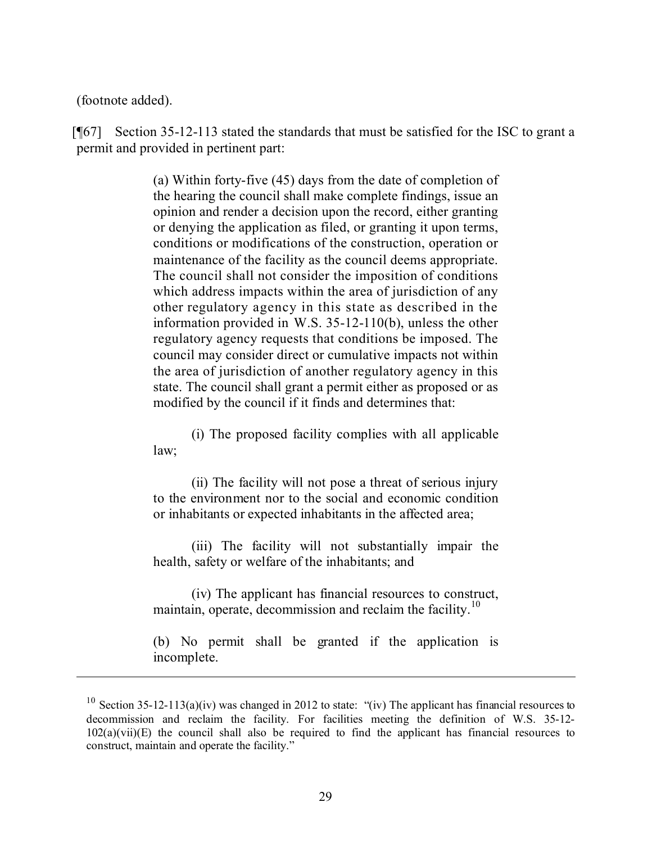(footnote added).

 $\overline{a}$ 

[¶67] Section 35-12-113 stated the standards that must be satisfied for the ISC to grant a permit and provided in pertinent part:

> (a) Within forty-five (45) days from the date of completion of the hearing the council shall make complete findings, issue an opinion and render a decision upon the record, either granting or denying the application as filed, or granting it upon terms, conditions or modifications of the construction, operation or maintenance of the facility as the council deems appropriate. The council shall not consider the imposition of conditions which address impacts within the area of jurisdiction of any other regulatory agency in this state as described in the information provided in W.S. 35-12-110(b), unless the other regulatory agency requests that conditions be imposed. The council may consider direct or cumulative impacts not within the area of jurisdiction of another regulatory agency in this state. The council shall grant a permit either as proposed or as modified by the council if it finds and determines that:

> (i) The proposed facility complies with all applicable law;

> (ii) The facility will not pose a threat of serious injury to the environment nor to the social and economic condition or inhabitants or expected inhabitants in the affected area;

> (iii) The facility will not substantially impair the health, safety or welfare of the inhabitants; and

> (iv) The applicant has financial resources to construct, maintain, operate, decommission and reclaim the facility.<sup>10</sup>

> (b) No permit shall be granted if the application is incomplete.

<sup>&</sup>lt;sup>10</sup> Section 35-12-113(a)(iv) was changed in 2012 to state: "(iv) The applicant has financial resources to decommission and reclaim the facility. For facilities meeting the definition of W.S. 35-12-  $102(a)(vii)(E)$  the council shall also be required to find the applicant has financial resources to construct, maintain and operate the facility."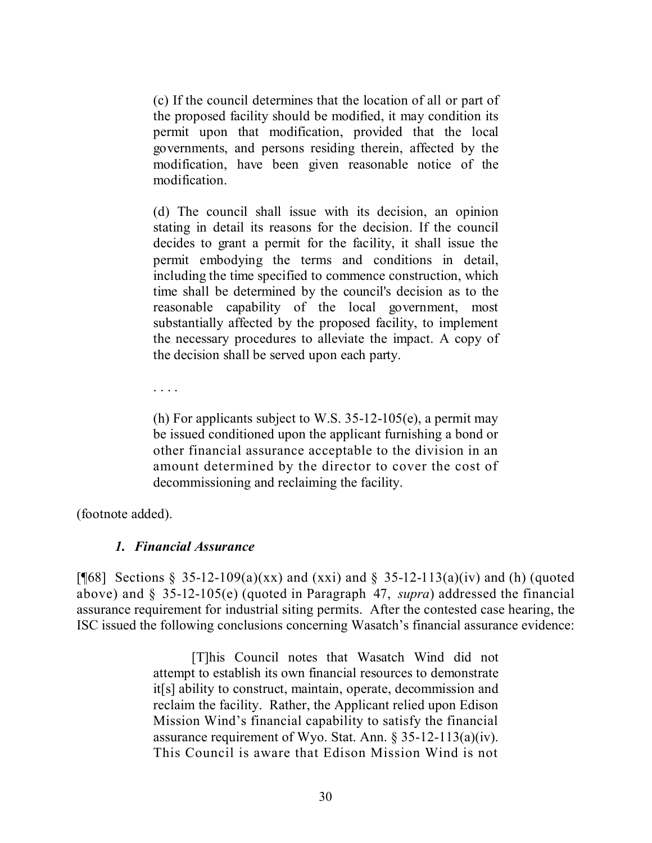(c) If the council determines that the location of all or part of the proposed facility should be modified, it may condition its permit upon that modification, provided that the local governments, and persons residing therein, affected by the modification, have been given reasonable notice of the modification.

(d) The council shall issue with its decision, an opinion stating in detail its reasons for the decision. If the council decides to grant a permit for the facility, it shall issue the permit embodying the terms and conditions in detail, including the time specified to commence construction, which time shall be determined by the council's decision as to the reasonable capability of the local government, most substantially affected by the proposed facility, to implement the necessary procedures to alleviate the impact. A copy of the decision shall be served upon each party.

. . . .

(h) For applicants subject to W.S.  $35-12-105(e)$ , a permit may be issued conditioned upon the applicant furnishing a bond or other financial assurance acceptable to the division in an amount determined by the director to cover the cost of decommissioning and reclaiming the facility.

(footnote added).

#### *1. Financial Assurance*

[ $[$ 68] Sections § 35-12-109(a)(xx) and (xxi) and § 35-12-113(a)(iv) and (h) (quoted above) and § 35-12-105(e) (quoted in Paragraph 47, *supra*) addressed the financial assurance requirement for industrial siting permits. After the contested case hearing, the ISC issued the following conclusions concerning Wasatch's financial assurance evidence:

> [T]his Council notes that Wasatch Wind did not attempt to establish its own financial resources to demonstrate it[s] ability to construct, maintain, operate, decommission and reclaim the facility. Rather, the Applicant relied upon Edison Mission Wind's financial capability to satisfy the financial assurance requirement of Wyo. Stat. Ann. § 35-12-113(a)(iv). This Council is aware that Edison Mission Wind is not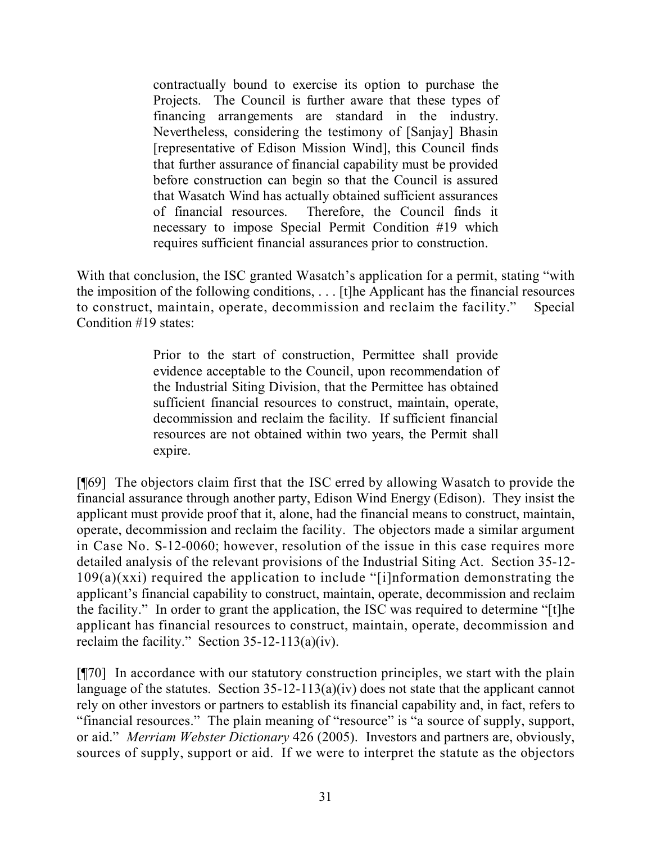contractually bound to exercise its option to purchase the Projects. The Council is further aware that these types of financing arrangements are standard in the industry. Nevertheless, considering the testimony of [Sanjay] Bhasin [representative of Edison Mission Wind], this Council finds that further assurance of financial capability must be provided before construction can begin so that the Council is assured that Wasatch Wind has actually obtained sufficient assurances of financial resources. Therefore, the Council finds it necessary to impose Special Permit Condition #19 which requires sufficient financial assurances prior to construction.

With that conclusion, the ISC granted Wasatch's application for a permit, stating "with" the imposition of the following conditions, . . . [t]he Applicant has the financial resources to construct, maintain, operate, decommission and reclaim the facility." Special Condition #19 states:

> Prior to the start of construction, Permittee shall provide evidence acceptable to the Council, upon recommendation of the Industrial Siting Division, that the Permittee has obtained sufficient financial resources to construct, maintain, operate, decommission and reclaim the facility. If sufficient financial resources are not obtained within two years, the Permit shall expire.

[¶69] The objectors claim first that the ISC erred by allowing Wasatch to provide the financial assurance through another party, Edison Wind Energy (Edison). They insist the applicant must provide proof that it, alone, had the financial means to construct, maintain, operate, decommission and reclaim the facility. The objectors made a similar argument in Case No. S-12-0060; however, resolution of the issue in this case requires more detailed analysis of the relevant provisions of the Industrial Siting Act. Section 35-12-  $109(a)(xxi)$  required the application to include "[i]nformation demonstrating the applicant's financial capability to construct, maintain, operate, decommission and reclaim the facility." In order to grant the application, the ISC was required to determine "[t]he applicant has financial resources to construct, maintain, operate, decommission and reclaim the facility." Section  $35-12-113(a)(iv)$ .

[¶70] In accordance with our statutory construction principles, we start with the plain language of the statutes. Section 35-12-113(a)(iv) does not state that the applicant cannot rely on other investors or partners to establish its financial capability and, in fact, refers to "financial resources." The plain meaning of "resource" is "a source of supply, support, or aid." *Merriam Webster Dictionary* 426 (2005). Investors and partners are, obviously, sources of supply, support or aid. If we were to interpret the statute as the objectors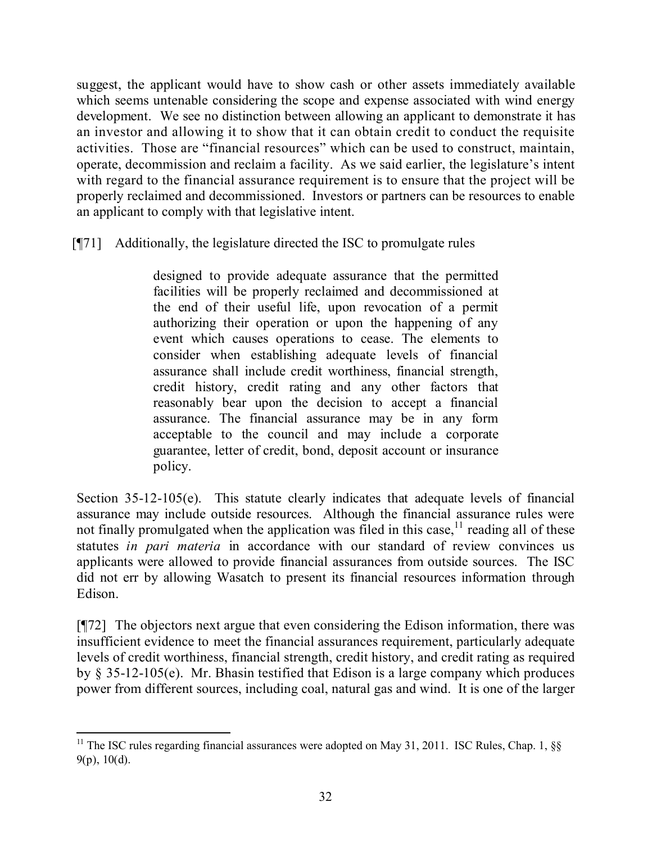suggest, the applicant would have to show cash or other assets immediately available which seems untenable considering the scope and expense associated with wind energy development. We see no distinction between allowing an applicant to demonstrate it has an investor and allowing it to show that it can obtain credit to conduct the requisite activities. Those are "financial resources" which can be used to construct, maintain, operate, decommission and reclaim a facility. As we said earlier, the legislature's intent with regard to the financial assurance requirement is to ensure that the project will be properly reclaimed and decommissioned. Investors or partners can be resources to enable an applicant to comply with that legislative intent.

[¶71] Additionally, the legislature directed the ISC to promulgate rules

designed to provide adequate assurance that the permitted facilities will be properly reclaimed and decommissioned at the end of their useful life, upon revocation of a permit authorizing their operation or upon the happening of any event which causes operations to cease. The elements to consider when establishing adequate levels of financial assurance shall include credit worthiness, financial strength, credit history, credit rating and any other factors that reasonably bear upon the decision to accept a financial assurance. The financial assurance may be in any form acceptable to the council and may include a corporate guarantee, letter of credit, bond, deposit account or insurance policy.

Section 35-12-105(e). This statute clearly indicates that adequate levels of financial assurance may include outside resources. Although the financial assurance rules were not finally promulgated when the application was filed in this case,  $11$  reading all of these statutes *in pari materia* in accordance with our standard of review convinces us applicants were allowed to provide financial assurances from outside sources. The ISC did not err by allowing Wasatch to present its financial resources information through Edison.

[¶72] The objectors next argue that even considering the Edison information, there was insufficient evidence to meet the financial assurances requirement, particularly adequate levels of credit worthiness, financial strength, credit history, and credit rating as required by § 35-12-105(e). Mr. Bhasin testified that Edison is a large company which produces power from different sources, including coal, natural gas and wind. It is one of the larger

 $\overline{a}$ <sup>11</sup> The ISC rules regarding financial assurances were adopted on May 31, 2011. ISC Rules, Chap. 1,  $\S$ §  $9(p)$ , 10(d).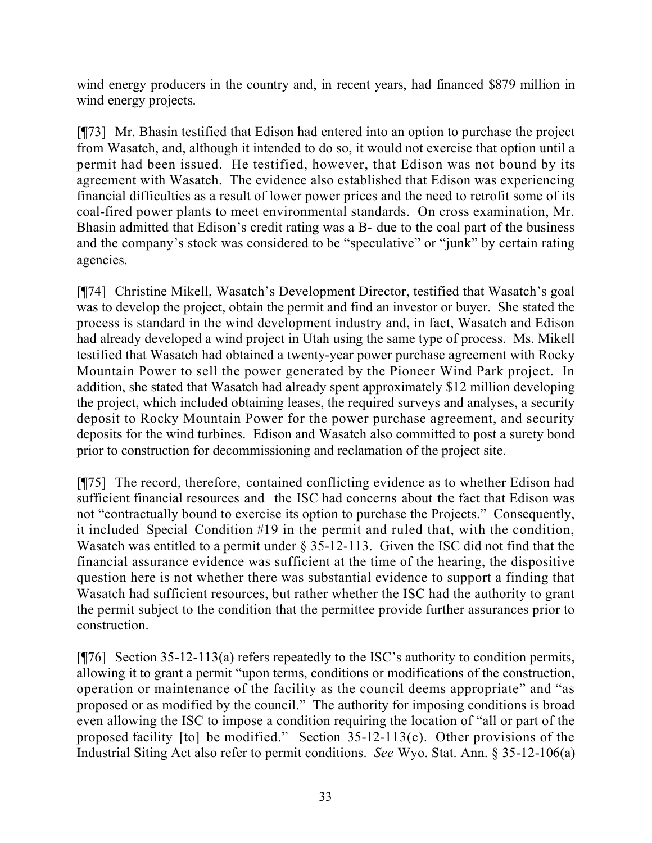wind energy producers in the country and, in recent years, had financed \$879 million in wind energy projects.

[¶73] Mr. Bhasin testified that Edison had entered into an option to purchase the project from Wasatch, and, although it intended to do so, it would not exercise that option until a permit had been issued. He testified, however, that Edison was not bound by its agreement with Wasatch. The evidence also established that Edison was experiencing financial difficulties as a result of lower power prices and the need to retrofit some of its coal-fired power plants to meet environmental standards. On cross examination, Mr. Bhasin admitted that Edison's credit rating was a B- due to the coal part of the business and the company's stock was considered to be "speculative" or "junk" by certain rating agencies.

[¶74] Christine Mikell, Wasatch's Development Director, testified that Wasatch's goal was to develop the project, obtain the permit and find an investor or buyer. She stated the process is standard in the wind development industry and, in fact, Wasatch and Edison had already developed a wind project in Utah using the same type of process. Ms. Mikell testified that Wasatch had obtained a twenty-year power purchase agreement with Rocky Mountain Power to sell the power generated by the Pioneer Wind Park project. In addition, she stated that Wasatch had already spent approximately \$12 million developing the project, which included obtaining leases, the required surveys and analyses, a security deposit to Rocky Mountain Power for the power purchase agreement, and security deposits for the wind turbines. Edison and Wasatch also committed to post a surety bond prior to construction for decommissioning and reclamation of the project site.

[¶75] The record, therefore, contained conflicting evidence as to whether Edison had sufficient financial resources and the ISC had concerns about the fact that Edison was not "contractually bound to exercise its option to purchase the Projects." Consequently, it included Special Condition #19 in the permit and ruled that, with the condition, Wasatch was entitled to a permit under § 35-12-113. Given the ISC did not find that the financial assurance evidence was sufficient at the time of the hearing, the dispositive question here is not whether there was substantial evidence to support a finding that Wasatch had sufficient resources, but rather whether the ISC had the authority to grant the permit subject to the condition that the permittee provide further assurances prior to construction.

[¶76] Section 35-12-113(a) refers repeatedly to the ISC's authority to condition permits, allowing it to grant a permit "upon terms, conditions or modifications of the construction, operation or maintenance of the facility as the council deems appropriate" and "as proposed or as modified by the council." The authority for imposing conditions is broad even allowing the ISC to impose a condition requiring the location of "all or part of the proposed facility [to] be modified." Section 35-12-113(c). Other provisions of the Industrial Siting Act also refer to permit conditions. *See* Wyo. Stat. Ann. § 35-12-106(a)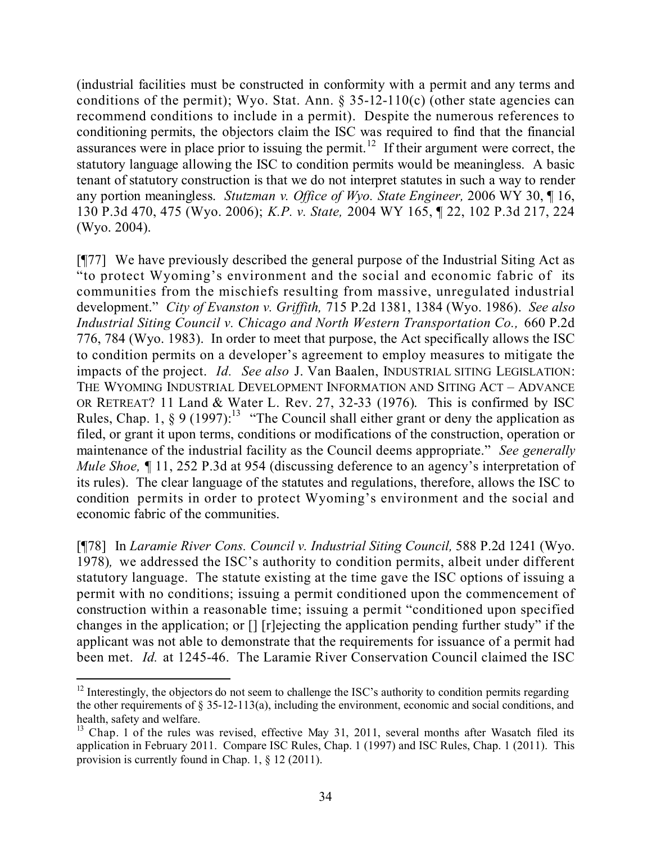(industrial facilities must be constructed in conformity with a permit and any terms and conditions of the permit); Wyo. Stat. Ann.  $\S 35{\text -}12{\text -}110(c)$  (other state agencies can recommend conditions to include in a permit). Despite the numerous references to conditioning permits, the objectors claim the ISC was required to find that the financial assurances were in place prior to issuing the permit.<sup>12</sup> If their argument were correct, the statutory language allowing the ISC to condition permits would be meaningless. A basic tenant of statutory construction is that we do not interpret statutes in such a way to render any portion meaningless. *Stutzman v. Office of Wyo. State Engineer,* 2006 WY 30, ¶ 16, 130 P.3d 470, 475 (Wyo. 2006); *K.P. v. State,* 2004 WY 165, ¶ 22, 102 P.3d 217, 224 (Wyo. 2004).

[¶77] We have previously described the general purpose of the Industrial Siting Act as "to protect Wyoming's environment and the social and economic fabric of its communities from the mischiefs resulting from massive, unregulated industrial development." *City of Evanston v. Griffith,* 715 P.2d 1381, 1384 (Wyo. 1986). *See also Industrial Siting Council v. Chicago and North Western Transportation Co.,* 660 P.2d 776, 784 (Wyo. 1983). In order to meet that purpose, the Act specifically allows the ISC to condition permits on a developer's agreement to employ measures to mitigate the impacts of the project. *Id. See also* J. Van Baalen, INDUSTRIAL SITING LEGISLATION: THE WYOMING INDUSTRIAL DEVELOPMENT INFORMATION AND SITING ACT – ADVANCE OR RETREAT? 11 Land & Water L. Rev. 27, 32-33 (1976). This is confirmed by ISC Rules, Chap. 1, § 9 (1997):<sup>13</sup> "The Council shall either grant or deny the application as filed, or grant it upon terms, conditions or modifications of the construction, operation or maintenance of the industrial facility as the Council deems appropriate." *See generally Mule Shoe*,  $\P$  11, 252 P.3d at 954 (discussing deference to an agency's interpretation of its rules). The clear language of the statutes and regulations, therefore, allows the ISC to condition permits in order to protect Wyoming's environment and the social and economic fabric of the communities.

[¶78] In *Laramie River Cons. Council v. Industrial Siting Council,* 588 P.2d 1241 (Wyo. 1978)*,* we addressed the ISC's authority to condition permits, albeit under different statutory language. The statute existing at the time gave the ISC options of issuing a permit with no conditions; issuing a permit conditioned upon the commencement of construction within a reasonable time; issuing a permit "conditioned upon specified changes in the application; or [] [r]ejecting the application pending further study" if the applicant was not able to demonstrate that the requirements for issuance of a permit had been met. *Id.* at 1245-46. The Laramie River Conservation Council claimed the ISC

 $12$  Interestingly, the objectors do not seem to challenge the ISC's authority to condition permits regarding the other requirements of  $\S 35-12-113(a)$ , including the environment, economic and social conditions, and health, safety and welfare.

<sup>&</sup>lt;sup>13</sup> Chap. 1 of the rules was revised, effective May 31, 2011, several months after Wasatch filed its application in February 2011. Compare ISC Rules, Chap. 1 (1997) and ISC Rules, Chap. 1 (2011). This provision is currently found in Chap. 1, § 12 (2011).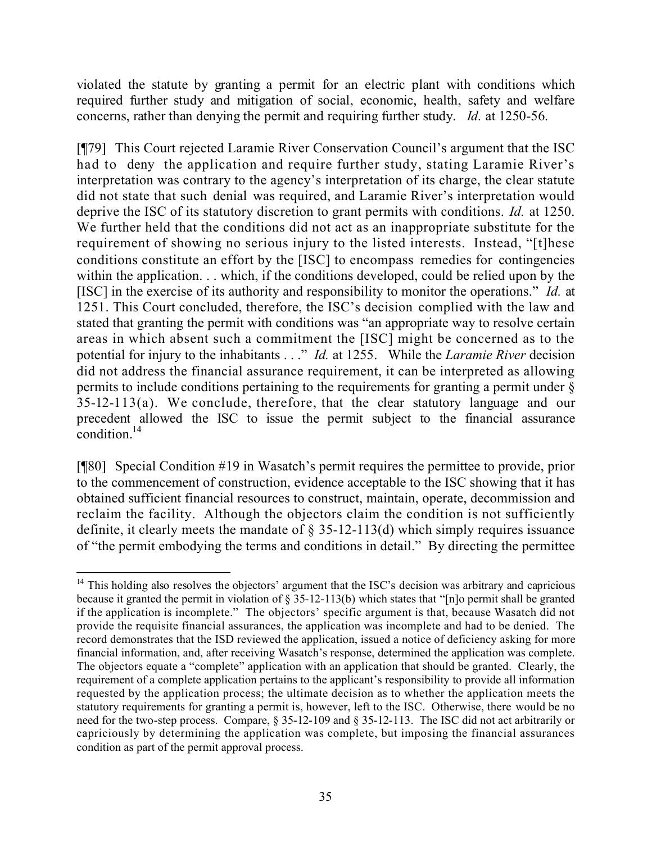violated the statute by granting a permit for an electric plant with conditions which required further study and mitigation of social, economic, health, safety and welfare concerns, rather than denying the permit and requiring further study. *Id.* at 1250-56.

[¶79] This Court rejected Laramie River Conservation Council's argument that the ISC had to deny the application and require further study, stating Laramie River's interpretation was contrary to the agency's interpretation of its charge, the clear statute did not state that such denial was required, and Laramie River's interpretation would deprive the ISC of its statutory discretion to grant permits with conditions. *Id.* at 1250. We further held that the conditions did not act as an inappropriate substitute for the requirement of showing no serious injury to the listed interests. Instead, "[t]hese conditions constitute an effort by the [ISC] to encompass remedies for contingencies within the application. . . which, if the conditions developed, could be relied upon by the [ISC] in the exercise of its authority and responsibility to monitor the operations." *Id.* at 1251. This Court concluded, therefore, the ISC's decision complied with the law and stated that granting the permit with conditions was "an appropriate way to resolve certain areas in which absent such a commitment the [ISC] might be concerned as to the potential for injury to the inhabitants . . ." *Id.* at 1255. While the *Laramie River* decision did not address the financial assurance requirement, it can be interpreted as allowing permits to include conditions pertaining to the requirements for granting a permit under § 35-12-113(a). We conclude, therefore, that the clear statutory language and our precedent allowed the ISC to issue the permit subject to the financial assurance condition. $^{14}$ 

[¶80] Special Condition #19 in Wasatch's permit requires the permittee to provide, prior to the commencement of construction, evidence acceptable to the ISC showing that it has obtained sufficient financial resources to construct, maintain, operate, decommission and reclaim the facility. Although the objectors claim the condition is not sufficiently definite, it clearly meets the mandate of  $\S$  35-12-113(d) which simply requires issuance of "the permit embodying the terms and conditions in detail." By directing the permittee

 $\overline{a}$  $14$  This holding also resolves the objectors' argument that the ISC's decision was arbitrary and capricious because it granted the permit in violation of § 35-12-113(b) which states that "[n]o permit shall be granted if the application is incomplete." The objectors' specific argument is that, because Wasatch did not provide the requisite financial assurances, the application was incomplete and had to be denied. The record demonstrates that the ISD reviewed the application, issued a notice of deficiency asking for more financial information, and, after receiving Wasatch's response, determined the application was complete. The objectors equate a "complete" application with an application that should be granted. Clearly, the requirement of a complete application pertains to the applicant's responsibility to provide all information requested by the application process; the ultimate decision as to whether the application meets the statutory requirements for granting a permit is, however, left to the ISC. Otherwise, there would be no need for the two-step process. Compare, § 35-12-109 and § 35-12-113. The ISC did not act arbitrarily or capriciously by determining the application was complete, but imposing the financial assurances condition as part of the permit approval process.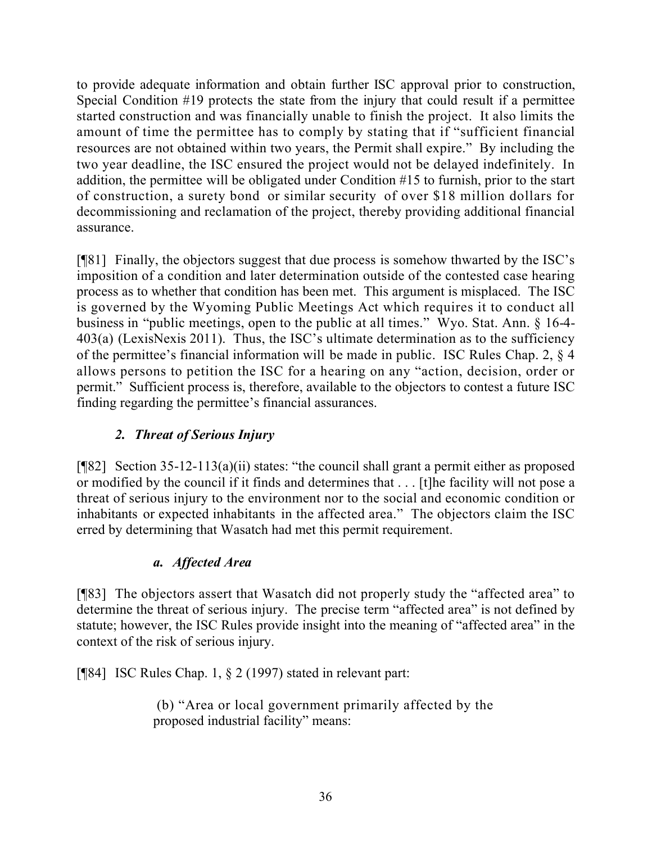to provide adequate information and obtain further ISC approval prior to construction, Special Condition #19 protects the state from the injury that could result if a permittee started construction and was financially unable to finish the project. It also limits the amount of time the permittee has to comply by stating that if "sufficient financial resources are not obtained within two years, the Permit shall expire." By including the two year deadline, the ISC ensured the project would not be delayed indefinitely. In addition, the permittee will be obligated under Condition #15 to furnish, prior to the start of construction, a surety bond or similar security of over \$18 million dollars for decommissioning and reclamation of the project, thereby providing additional financial assurance.

[¶81] Finally, the objectors suggest that due process is somehow thwarted by the ISC's imposition of a condition and later determination outside of the contested case hearing process as to whether that condition has been met. This argument is misplaced. The ISC is governed by the Wyoming Public Meetings Act which requires it to conduct all business in "public meetings, open to the public at all times." Wyo. Stat. Ann. § 16-4- 403(a) (LexisNexis 2011). Thus, the ISC's ultimate determination as to the sufficiency of the permittee's financial information will be made in public. ISC Rules Chap. 2, § 4 allows persons to petition the ISC for a hearing on any "action, decision, order or permit." Sufficient process is, therefore, available to the objectors to contest a future ISC finding regarding the permittee's financial assurances.

# *2. Threat of Serious Injury*

[¶82] Section 35-12-113(a)(ii) states: "the council shall grant a permit either as proposed or modified by the council if it finds and determines that . . . [t]he facility will not pose a threat of serious injury to the environment nor to the social and economic condition or inhabitants or expected inhabitants in the affected area." The objectors claim the ISC erred by determining that Wasatch had met this permit requirement.

# *a. Affected Area*

[¶83] The objectors assert that Wasatch did not properly study the "affected area" to determine the threat of serious injury. The precise term "affected area" is not defined by statute; however, the ISC Rules provide insight into the meaning of "affected area" in the context of the risk of serious injury.

[¶84] ISC Rules Chap. 1, § 2 (1997) stated in relevant part:

(b) "Area or local government primarily affected by the proposed industrial facility" means: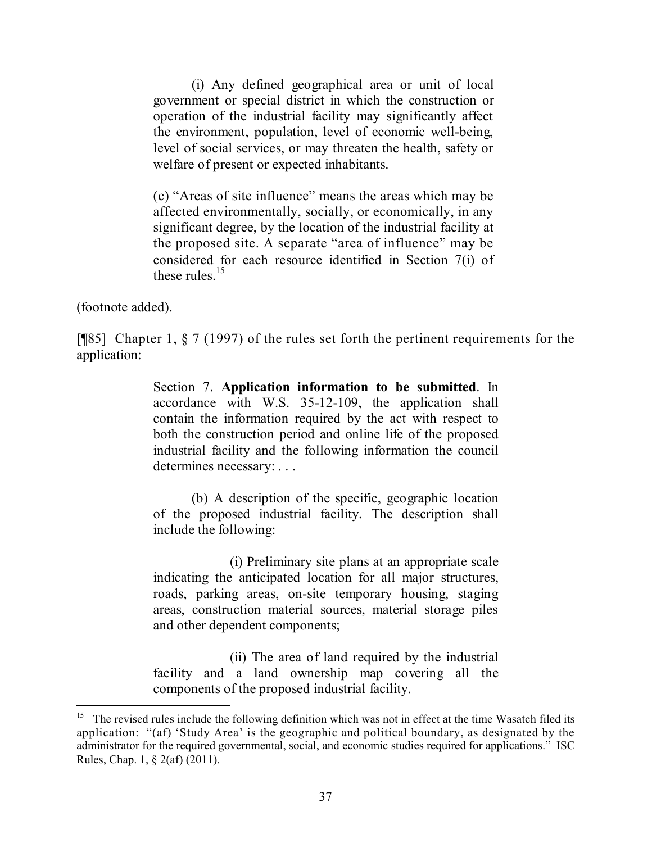(i) Any defined geographical area or unit of local government or special district in which the construction or operation of the industrial facility may significantly affect the environment, population, level of economic well-being, level of social services, or may threaten the health, safety or welfare of present or expected inhabitants.

(c) "Areas of site influence" means the areas which may be affected environmentally, socially, or economically, in any significant degree, by the location of the industrial facility at the proposed site. A separate "area of influence" may be considered for each resource identified in Section 7(i) of these rules.<sup>15</sup>

(footnote added).

 $\overline{a}$ 

[¶85] Chapter 1, § 7 (1997) of the rules set forth the pertinent requirements for the application:

> Section 7. **Application information to be submitted**. In accordance with W.S. 35-12-109, the application shall contain the information required by the act with respect to both the construction period and online life of the proposed industrial facility and the following information the council determines necessary: . . .

> (b) A description of the specific, geographic location of the proposed industrial facility. The description shall include the following:

> (i) Preliminary site plans at an appropriate scale indicating the anticipated location for all major structures, roads, parking areas, on-site temporary housing, staging areas, construction material sources, material storage piles and other dependent components;

> (ii) The area of land required by the industrial facility and a land ownership map covering all the components of the proposed industrial facility.

<sup>15</sup> The revised rules include the following definition which was not in effect at the time Wasatch filed its application: "(af) 'Study Area' is the geographic and political boundary, as designated by the administrator for the required governmental, social, and economic studies required for applications." ISC Rules, Chap. 1, § 2(af) (2011).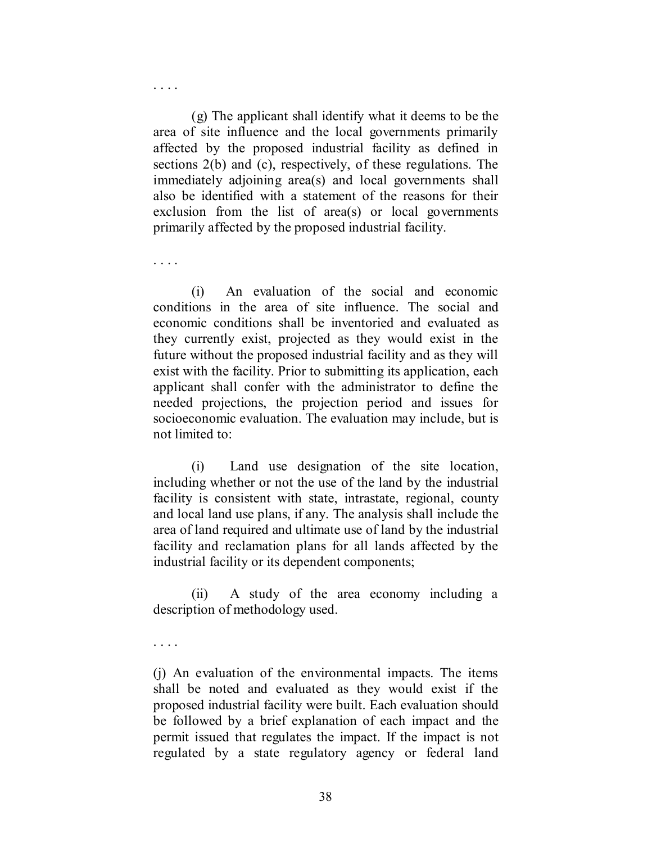(g) The applicant shall identify what it deems to be the area of site influence and the local governments primarily affected by the proposed industrial facility as defined in sections 2(b) and (c), respectively, of these regulations. The immediately adjoining area(s) and local governments shall also be identified with a statement of the reasons for their exclusion from the list of area(s) or local governments primarily affected by the proposed industrial facility.

(i) An evaluation of the social and economic conditions in the area of site influence. The social and economic conditions shall be inventoried and evaluated as they currently exist, projected as they would exist in the future without the proposed industrial facility and as they will exist with the facility. Prior to submitting its application, each applicant shall confer with the administrator to define the needed projections, the projection period and issues for socioeconomic evaluation. The evaluation may include, but is not limited to:

(i) Land use designation of the site location, including whether or not the use of the land by the industrial facility is consistent with state, intrastate, regional, county and local land use plans, if any. The analysis shall include the area of land required and ultimate use of land by the industrial facility and reclamation plans for all lands affected by the industrial facility or its dependent components;

(ii) A study of the area economy including a description of methodology used.

. . . .

. . . .

. . . .

(j) An evaluation of the environmental impacts. The items shall be noted and evaluated as they would exist if the proposed industrial facility were built. Each evaluation should be followed by a brief explanation of each impact and the permit issued that regulates the impact. If the impact is not regulated by a state regulatory agency or federal land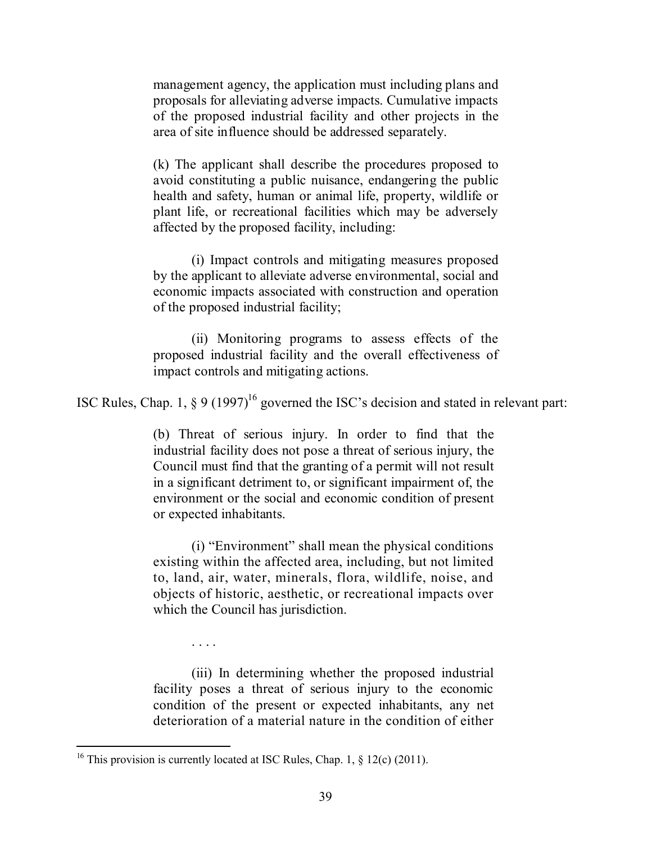management agency, the application must including plans and proposals for alleviating adverse impacts. Cumulative impacts of the proposed industrial facility and other projects in the area of site influence should be addressed separately.

(k) The applicant shall describe the procedures proposed to avoid constituting a public nuisance, endangering the public health and safety, human or animal life, property, wildlife or plant life, or recreational facilities which may be adversely affected by the proposed facility, including:

(i) Impact controls and mitigating measures proposed by the applicant to alleviate adverse environmental, social and economic impacts associated with construction and operation of the proposed industrial facility;

(ii) Monitoring programs to assess effects of the proposed industrial facility and the overall effectiveness of impact controls and mitigating actions.

ISC Rules, Chap. 1,  $\S 9$  (1997)<sup>16</sup> governed the ISC's decision and stated in relevant part:

(b) Threat of serious injury. In order to find that the industrial facility does not pose a threat of serious injury, the Council must find that the granting of a permit will not result in a significant detriment to, or significant impairment of, the environment or the social and economic condition of present or expected inhabitants.

(i) "Environment" shall mean the physical conditions existing within the affected area, including, but not limited to, land, air, water, minerals, flora, wildlife, noise, and objects of historic, aesthetic, or recreational impacts over which the Council has jurisdiction.

(iii) In determining whether the proposed industrial facility poses a threat of serious injury to the economic condition of the present or expected inhabitants, any net deterioration of a material nature in the condition of either

. . . .

<sup>&</sup>lt;sup>16</sup> This provision is currently located at ISC Rules, Chap. 1,  $\S$  12(c) (2011).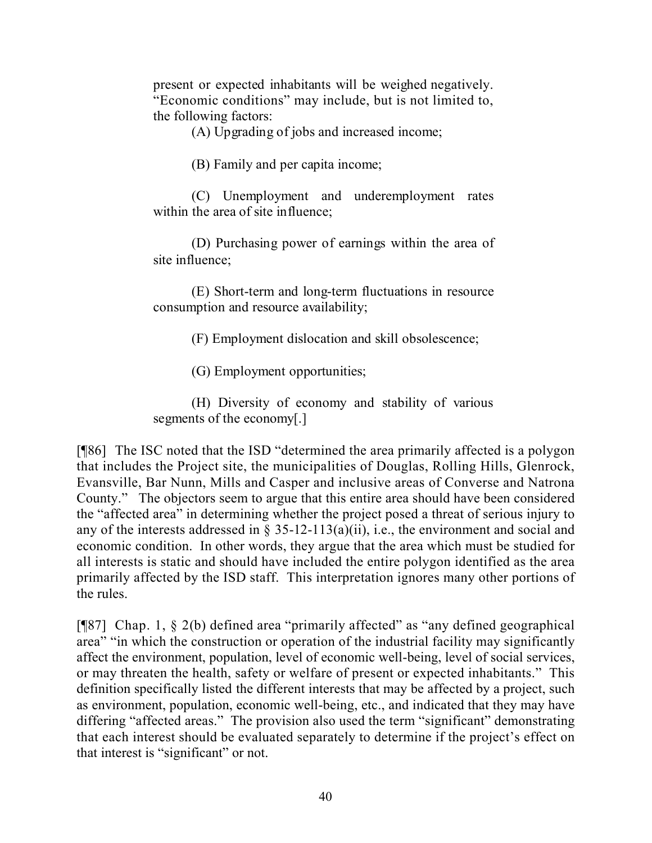present or expected inhabitants will be weighed negatively. "Economic conditions" may include, but is not limited to, the following factors:

(A) Upgrading of jobs and increased income;

(B) Family and per capita income;

(C) Unemployment and underemployment rates within the area of site influence;

(D) Purchasing power of earnings within the area of site influence;

(E) Short-term and long-term fluctuations in resource consumption and resource availability;

(F) Employment dislocation and skill obsolescence;

(G) Employment opportunities;

(H) Diversity of economy and stability of various segments of the economy[.]

[¶86] The ISC noted that the ISD "determined the area primarily affected is a polygon that includes the Project site, the municipalities of Douglas, Rolling Hills, Glenrock, Evansville, Bar Nunn, Mills and Casper and inclusive areas of Converse and Natrona County." The objectors seem to argue that this entire area should have been considered the "affected area" in determining whether the project posed a threat of serious injury to any of the interests addressed in § 35-12-113(a)(ii), i.e., the environment and social and economic condition. In other words, they argue that the area which must be studied for all interests is static and should have included the entire polygon identified as the area primarily affected by the ISD staff. This interpretation ignores many other portions of the rules.

[¶87] Chap. 1, § 2(b) defined area "primarily affected" as "any defined geographical area" "in which the construction or operation of the industrial facility may significantly affect the environment, population, level of economic well-being, level of social services, or may threaten the health, safety or welfare of present or expected inhabitants." This definition specifically listed the different interests that may be affected by a project, such as environment, population, economic well-being, etc., and indicated that they may have differing "affected areas." The provision also used the term "significant" demonstrating that each interest should be evaluated separately to determine if the project's effect on that interest is "significant" or not.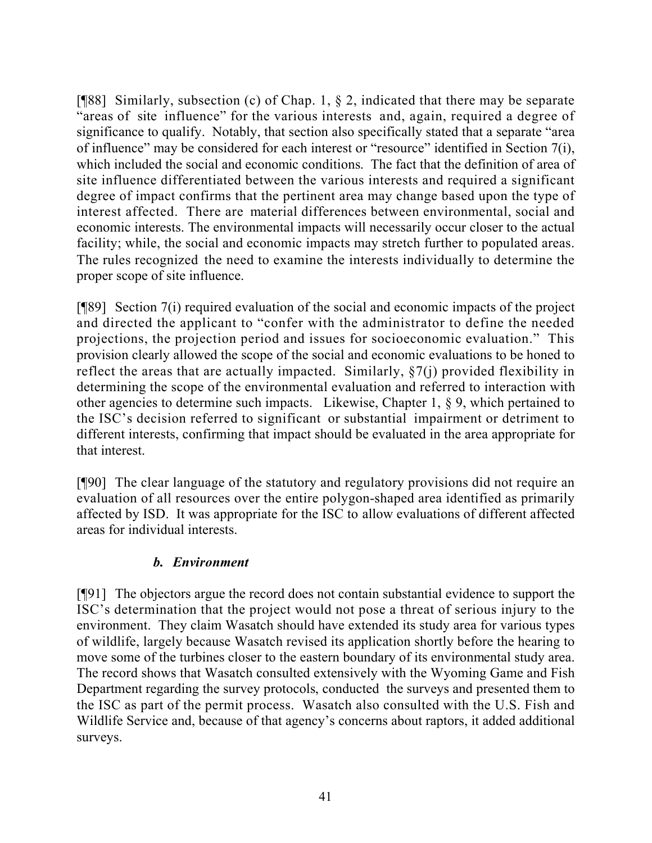[ $[$ [88] Similarly, subsection (c) of Chap. 1,  $\S$  2, indicated that there may be separate "areas of site influence" for the various interests and, again, required a degree of significance to qualify. Notably, that section also specifically stated that a separate "area of influence" may be considered for each interest or "resource" identified in Section 7(i), which included the social and economic conditions. The fact that the definition of area of site influence differentiated between the various interests and required a significant degree of impact confirms that the pertinent area may change based upon the type of interest affected. There are material differences between environmental, social and economic interests. The environmental impacts will necessarily occur closer to the actual facility; while, the social and economic impacts may stretch further to populated areas. The rules recognized the need to examine the interests individually to determine the proper scope of site influence.

[¶89] Section 7(i) required evaluation of the social and economic impacts of the project and directed the applicant to "confer with the administrator to define the needed projections, the projection period and issues for socioeconomic evaluation." This provision clearly allowed the scope of the social and economic evaluations to be honed to reflect the areas that are actually impacted. Similarly, §7(j) provided flexibility in determining the scope of the environmental evaluation and referred to interaction with other agencies to determine such impacts. Likewise, Chapter 1, § 9, which pertained to the ISC's decision referred to significant or substantial impairment or detriment to different interests, confirming that impact should be evaluated in the area appropriate for that interest.

[¶90] The clear language of the statutory and regulatory provisions did not require an evaluation of all resources over the entire polygon-shaped area identified as primarily affected by ISD. It was appropriate for the ISC to allow evaluations of different affected areas for individual interests.

# *b. Environment*

[¶91] The objectors argue the record does not contain substantial evidence to support the ISC's determination that the project would not pose a threat of serious injury to the environment. They claim Wasatch should have extended its study area for various types of wildlife, largely because Wasatch revised its application shortly before the hearing to move some of the turbines closer to the eastern boundary of its environmental study area. The record shows that Wasatch consulted extensively with the Wyoming Game and Fish Department regarding the survey protocols, conducted the surveys and presented them to the ISC as part of the permit process. Wasatch also consulted with the U.S. Fish and Wildlife Service and, because of that agency's concerns about raptors, it added additional surveys.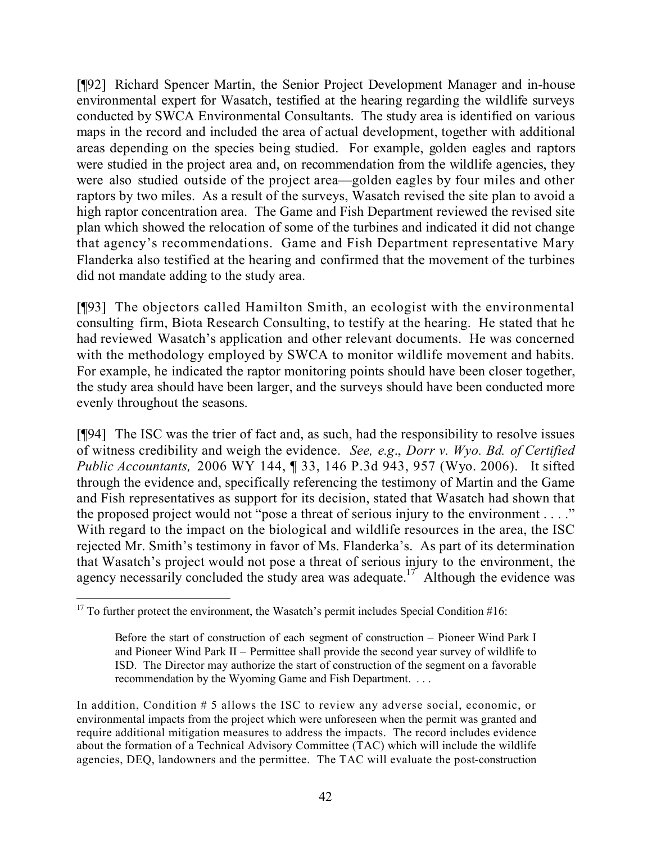[¶92] Richard Spencer Martin, the Senior Project Development Manager and in-house environmental expert for Wasatch, testified at the hearing regarding the wildlife surveys conducted by SWCA Environmental Consultants. The study area is identified on various maps in the record and included the area of actual development, together with additional areas depending on the species being studied. For example, golden eagles and raptors were studied in the project area and, on recommendation from the wildlife agencies, they were also studied outside of the project area—golden eagles by four miles and other raptors by two miles. As a result of the surveys, Wasatch revised the site plan to avoid a high raptor concentration area. The Game and Fish Department reviewed the revised site plan which showed the relocation of some of the turbines and indicated it did not change that agency's recommendations. Game and Fish Department representative Mary Flanderka also testified at the hearing and confirmed that the movement of the turbines did not mandate adding to the study area.

[¶93] The objectors called Hamilton Smith, an ecologist with the environmental consulting firm, Biota Research Consulting, to testify at the hearing. He stated that he had reviewed Wasatch's application and other relevant documents. He was concerned with the methodology employed by SWCA to monitor wildlife movement and habits. For example, he indicated the raptor monitoring points should have been closer together, the study area should have been larger, and the surveys should have been conducted more evenly throughout the seasons.

[¶94] The ISC was the trier of fact and, as such, had the responsibility to resolve issues of witness credibility and weigh the evidence. *See, e.g*., *Dorr v. Wyo. Bd. of Certified Public Accountants,* 2006 WY 144, ¶ 33, 146 P.3d 943, 957 (Wyo. 2006). It sifted through the evidence and, specifically referencing the testimony of Martin and the Game and Fish representatives as support for its decision, stated that Wasatch had shown that the proposed project would not "pose a threat of serious injury to the environment . . . ." With regard to the impact on the biological and wildlife resources in the area, the ISC rejected Mr. Smith's testimony in favor of Ms. Flanderka's. As part of its determination that Wasatch's project would not pose a threat of serious injury to the environment, the agency necessarily concluded the study area was adequate.<sup>17</sup> Although the evidence was

 $\overline{a}$  $17$  To further protect the environment, the Wasatch's permit includes Special Condition #16:

Before the start of construction of each segment of construction – Pioneer Wind Park I and Pioneer Wind Park II – Permittee shall provide the second year survey of wildlife to ISD. The Director may authorize the start of construction of the segment on a favorable recommendation by the Wyoming Game and Fish Department. . . .

In addition, Condition # 5 allows the ISC to review any adverse social, economic, or environmental impacts from the project which were unforeseen when the permit was granted and require additional mitigation measures to address the impacts. The record includes evidence about the formation of a Technical Advisory Committee (TAC) which will include the wildlife agencies, DEQ, landowners and the permittee. The TAC will evaluate the post-construction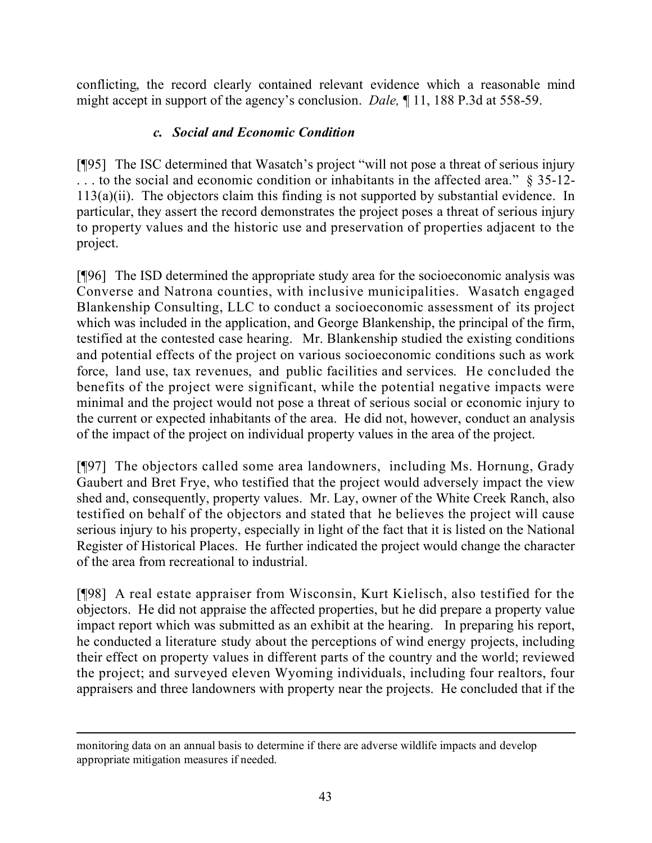conflicting, the record clearly contained relevant evidence which a reasonable mind might accept in support of the agency's conclusion. *Dale,* ¶ 11, 188 P.3d at 558-59.

# *c. Social and Economic Condition*

[¶95] The ISC determined that Wasatch's project "will not pose a threat of serious injury . . . to the social and economic condition or inhabitants in the affected area." § 35-12- 113(a)(ii). The objectors claim this finding is not supported by substantial evidence. In particular, they assert the record demonstrates the project poses a threat of serious injury to property values and the historic use and preservation of properties adjacent to the project.

[¶96] The ISD determined the appropriate study area for the socioeconomic analysis was Converse and Natrona counties, with inclusive municipalities. Wasatch engaged Blankenship Consulting, LLC to conduct a socioeconomic assessment of its project which was included in the application, and George Blankenship, the principal of the firm, testified at the contested case hearing. Mr. Blankenship studied the existing conditions and potential effects of the project on various socioeconomic conditions such as work force, land use, tax revenues, and public facilities and services. He concluded the benefits of the project were significant, while the potential negative impacts were minimal and the project would not pose a threat of serious social or economic injury to the current or expected inhabitants of the area. He did not, however, conduct an analysis of the impact of the project on individual property values in the area of the project.

[¶97] The objectors called some area landowners, including Ms. Hornung, Grady Gaubert and Bret Frye, who testified that the project would adversely impact the view shed and, consequently, property values. Mr. Lay, owner of the White Creek Ranch, also testified on behalf of the objectors and stated that he believes the project will cause serious injury to his property, especially in light of the fact that it is listed on the National Register of Historical Places. He further indicated the project would change the character of the area from recreational to industrial.

[¶98] A real estate appraiser from Wisconsin, Kurt Kielisch, also testified for the objectors. He did not appraise the affected properties, but he did prepare a property value impact report which was submitted as an exhibit at the hearing. In preparing his report, he conducted a literature study about the perceptions of wind energy projects, including their effect on property values in different parts of the country and the world; reviewed the project; and surveyed eleven Wyoming individuals, including four realtors, four appraisers and three landowners with property near the projects. He concluded that if the

 $\overline{a}$ 

monitoring data on an annual basis to determine if there are adverse wildlife impacts and develop appropriate mitigation measures if needed.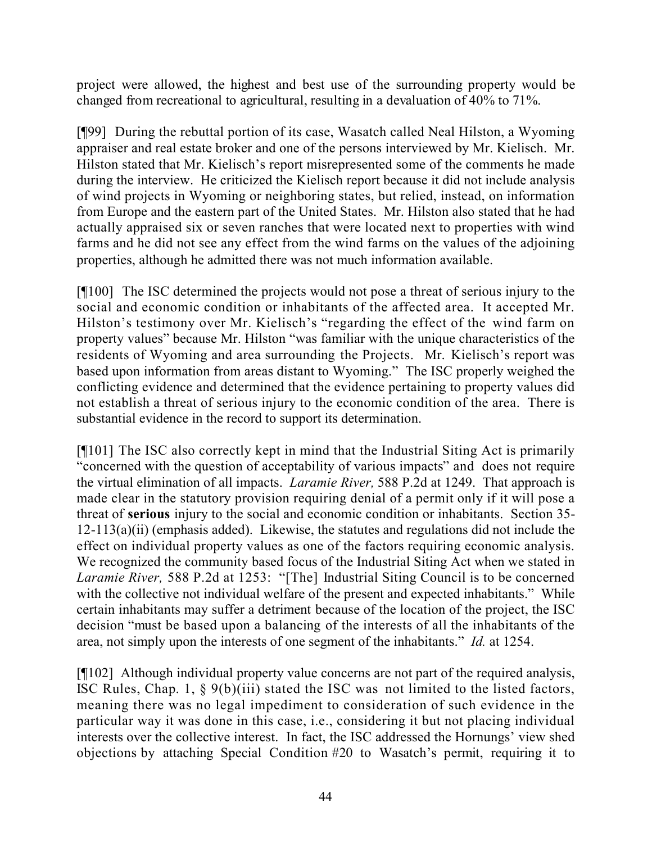project were allowed, the highest and best use of the surrounding property would be changed from recreational to agricultural, resulting in a devaluation of 40% to 71%.

[¶99] During the rebuttal portion of its case, Wasatch called Neal Hilston, a Wyoming appraiser and real estate broker and one of the persons interviewed by Mr. Kielisch. Mr. Hilston stated that Mr. Kielisch's report misrepresented some of the comments he made during the interview. He criticized the Kielisch report because it did not include analysis of wind projects in Wyoming or neighboring states, but relied, instead, on information from Europe and the eastern part of the United States. Mr. Hilston also stated that he had actually appraised six or seven ranches that were located next to properties with wind farms and he did not see any effect from the wind farms on the values of the adjoining properties, although he admitted there was not much information available.

[¶100] The ISC determined the projects would not pose a threat of serious injury to the social and economic condition or inhabitants of the affected area. It accepted Mr. Hilston's testimony over Mr. Kielisch's "regarding the effect of the wind farm on property values" because Mr. Hilston "was familiar with the unique characteristics of the residents of Wyoming and area surrounding the Projects. Mr. Kielisch's report was based upon information from areas distant to Wyoming." The ISC properly weighed the conflicting evidence and determined that the evidence pertaining to property values did not establish a threat of serious injury to the economic condition of the area. There is substantial evidence in the record to support its determination.

[¶101] The ISC also correctly kept in mind that the Industrial Siting Act is primarily "concerned with the question of acceptability of various impacts" and does not require the virtual elimination of all impacts. *Laramie River,* 588 P.2d at 1249. That approach is made clear in the statutory provision requiring denial of a permit only if it will pose a threat of **serious** injury to the social and economic condition or inhabitants. Section 35- 12-113(a)(ii) (emphasis added). Likewise, the statutes and regulations did not include the effect on individual property values as one of the factors requiring economic analysis. We recognized the community based focus of the Industrial Siting Act when we stated in *Laramie River,* 588 P.2d at 1253: "[The] Industrial Siting Council is to be concerned with the collective not individual welfare of the present and expected inhabitants." While certain inhabitants may suffer a detriment because of the location of the project, the ISC decision "must be based upon a balancing of the interests of all the inhabitants of the area, not simply upon the interests of one segment of the inhabitants." *Id.* at 1254.

[¶102] Although individual property value concerns are not part of the required analysis, ISC Rules, Chap. 1, § 9(b)(iii) stated the ISC was not limited to the listed factors, meaning there was no legal impediment to consideration of such evidence in the particular way it was done in this case, i.e., considering it but not placing individual interests over the collective interest. In fact, the ISC addressed the Hornungs' view shed objections by attaching Special Condition #20 to Wasatch's permit, requiring it to